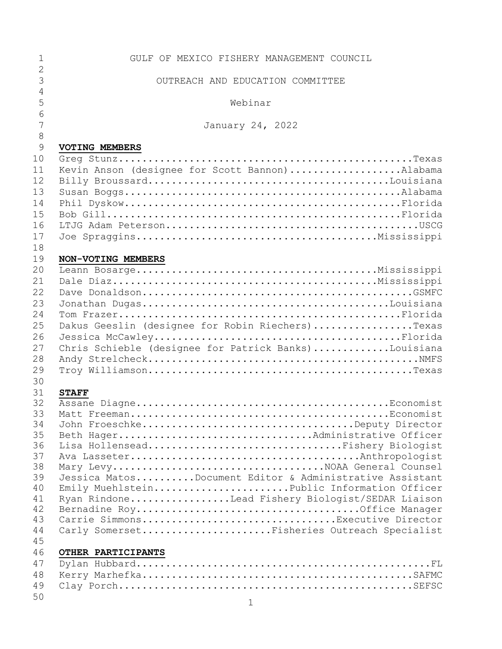| $\mathbf 1$    | GULF OF MEXICO FISHERY MANAGEMENT COUNCIL               |
|----------------|---------------------------------------------------------|
| $\overline{2}$ |                                                         |
| $\overline{3}$ | OUTREACH AND EDUCATION COMMITTEE                        |
| 4              |                                                         |
| 5              | Webinar                                                 |
| 6              |                                                         |
| 7              | January 24, 2022                                        |
| $\,8\,$<br>9   |                                                         |
| 10             | <b>VOTING MEMBERS</b>                                   |
| 11             | Kevin Anson (designee for Scott Bannon)Alabama          |
| 12             |                                                         |
| 13             |                                                         |
| 14             |                                                         |
| 15             |                                                         |
| 16             |                                                         |
| 17             |                                                         |
| 18             |                                                         |
| 19             | NON-VOTING MEMBERS                                      |
| 20             |                                                         |
| 21             |                                                         |
| 22             |                                                         |
| 23             |                                                         |
| 24             |                                                         |
| 25             | Dakus Geeslin (designee for Robin Riechers)Texas        |
| 26             |                                                         |
| 27             | Chris Schieble (designee for Patrick Banks)Louisiana    |
| 28             |                                                         |
| 29             |                                                         |
| 30             |                                                         |
| 31             | <b>STAFF</b>                                            |
| 32<br>33       |                                                         |
| 34             | John FroeschkeDeputy Director                           |
| 35             | Beth HagerAdministrative Officer                        |
| 36             | Lisa HollenseadFishery Biologist                        |
| 37             |                                                         |
| 38             |                                                         |
| 39             | Jessica MatosDocument Editor & Administrative Assistant |
| 40             | Emily MuehlsteinPublic Information Officer              |
| 41             | Ryan RindoneLead Fishery Biologist/SEDAR Liaison        |
| 42             |                                                         |
| 43<br>44       | Carrie SimmonsExecutive Director                        |
| 45             | Carly SomersetFisheries Outreach Specialist             |
| 46             | OTHER PARTICIPANTS                                      |
| 47             |                                                         |
| 48             |                                                         |
| 49             |                                                         |
| 50             |                                                         |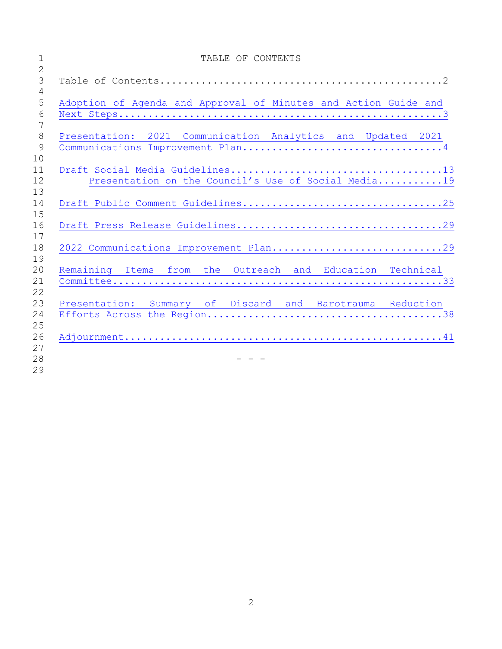| $\mathbf 1$<br>$\overline{2}$ | TABLE OF CONTENTS                                               |
|-------------------------------|-----------------------------------------------------------------|
| $\mathcal{S}$<br>$\sqrt{4}$   |                                                                 |
| 5<br>6                        | Adoption of Agenda and Approval of Minutes and Action Guide and |
| 7<br>8<br>9                   | Presentation: 2021 Communication Analytics and Updated 2021     |
| 10<br>11<br>12                | Presentation on the Council's Use of Social Media19             |
| 13<br>14<br>15                |                                                                 |
| 16<br>17                      |                                                                 |
| 18<br>19                      | 2022 Communications Improvement Plan29                          |
| 20<br>21                      | Remaining Items from the Outreach and Education Technical       |
| 22<br>23<br>24                | Presentation: Summary of Discard and Barotrauma Reduction       |
| 25<br>26<br>27                |                                                                 |
| 28<br>29                      |                                                                 |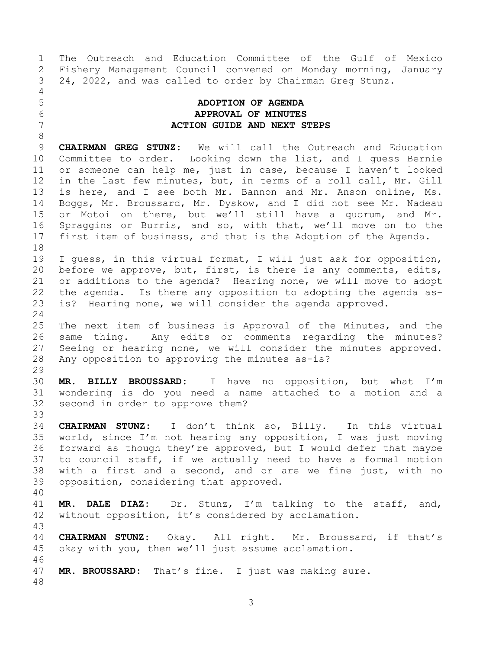The Outreach and Education Committee of the Gulf of Mexico Fishery Management Council convened on Monday morning, January 24, 2022, and was called to order by Chairman Greg Stunz.

# <span id="page-2-0"></span> **ADOPTION OF AGENDA APPROVAL OF MINUTES ACTION GUIDE AND NEXT STEPS**

 **CHAIRMAN GREG STUNZ:** We will call the Outreach and Education Committee to order. Looking down the list, and I guess Bernie or someone can help me, just in case, because I haven't looked in the last few minutes, but, in terms of a roll call, Mr. Gill is here, and I see both Mr. Bannon and Mr. Anson online, Ms. Boggs, Mr. Broussard, Mr. Dyskow, and I did not see Mr. Nadeau or Motoi on there, but we'll still have a quorum, and Mr. Spraggins or Burris, and so, with that, we'll move on to the first item of business, and that is the Adoption of the Agenda. 

 I guess, in this virtual format, I will just ask for opposition, before we approve, but, first, is there is any comments, edits, or additions to the agenda? Hearing none, we will move to adopt the agenda. Is there any opposition to adopting the agenda as-is? Hearing none, we will consider the agenda approved.

 The next item of business is Approval of the Minutes, and the same thing. Any edits or comments regarding the minutes? Seeing or hearing none, we will consider the minutes approved. Any opposition to approving the minutes as-is?

 **MR. BILLY BROUSSARD:** I have no opposition, but what I'm wondering is do you need a name attached to a motion and a second in order to approve them?

 **CHAIRMAN STUNZ:** I don't think so, Billy. In this virtual world, since I'm not hearing any opposition, I was just moving forward as though they're approved, but I would defer that maybe to council staff, if we actually need to have a formal motion with a first and a second, and or are we fine just, with no opposition, considering that approved.

 **MR. DALE DIAZ:** Dr. Stunz, I'm talking to the staff, and, without opposition, it's considered by acclamation.

 **CHAIRMAN STUNZ:** Okay. All right. Mr. Broussard, if that's okay with you, then we'll just assume acclamation. 

**MR. BROUSSARD:** That's fine. I just was making sure.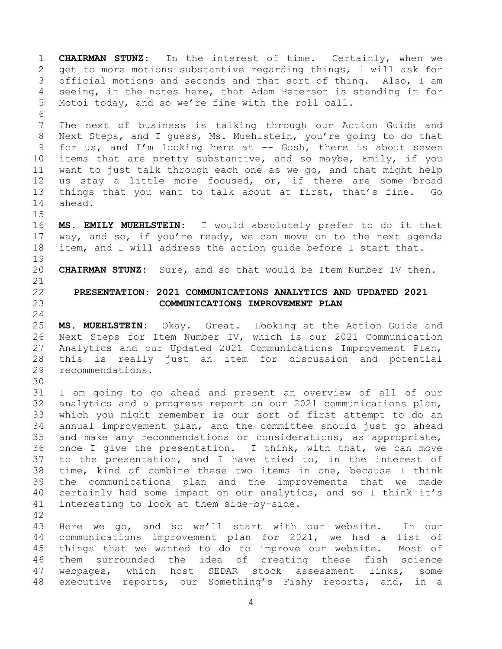<span id="page-3-0"></span> **CHAIRMAN STUNZ:** In the interest of time. Certainly, when we get to more motions substantive regarding things, I will ask for official motions and seconds and that sort of thing. Also, I am seeing, in the notes here, that Adam Peterson is standing in for Motoi today, and so we're fine with the roll call. The next of business is talking through our Action Guide and Next Steps, and I guess, Ms. Muehlstein, you're going to do that for us, and I'm looking here at -- Gosh, there is about seven items that are pretty substantive, and so maybe, Emily, if you want to just talk through each one as we go, and that might help 12 us stay a little more focused, or, if there are some broad things that you want to talk about at first, that's fine. Go ahead. **MS. EMILY MUEHLSTEIN:** I would absolutely prefer to do it that way, and so, if you're ready, we can move on to the next agenda item, and I will address the action guide before I start that. **CHAIRMAN STUNZ:** Sure, and so that would be Item Number IV then. **PRESENTATION: 2021 COMMUNICATIONS ANALYTICS AND UPDATED 2021 COMMUNICATIONS IMPROVEMENT PLAN MS. MUEHLSTEIN:** Okay. Great. Looking at the Action Guide and Next Steps for Item Number IV, which is our 2021 Communication Analytics and our Updated 2021 Communications Improvement Plan, this is really just an item for discussion and potential recommendations. I am going to go ahead and present an overview of all of our analytics and a progress report on our 2021 communications plan, which you might remember is our sort of first attempt to do an annual improvement plan, and the committee should just go ahead and make any recommendations or considerations, as appropriate, once I give the presentation. I think, with that, we can move to the presentation, and I have tried to, in the interest of time, kind of combine these two items in one, because I think the communications plan and the improvements that we made certainly had some impact on our analytics, and so I think it's interesting to look at them side-by-side. Here we go, and so we'll start with our website. In our communications improvement plan for 2021, we had a list of things that we wanted to do to improve our website. Most of them surrounded the idea of creating these fish science webpages, which host SEDAR stock assessment links, some executive reports, our Something's Fishy reports, and, in a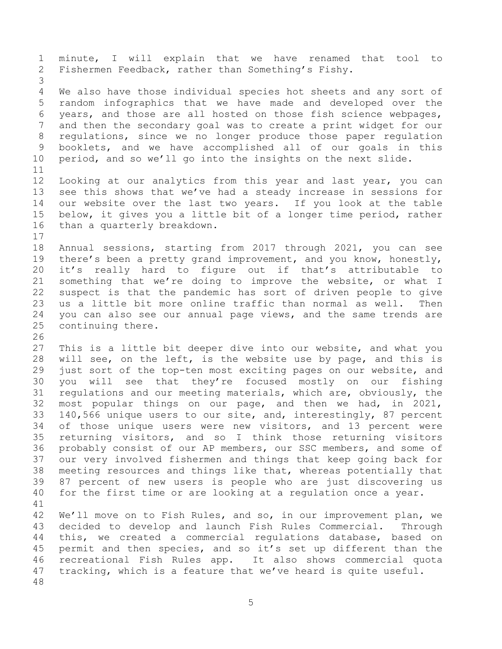minute, I will explain that we have renamed that tool to Fishermen Feedback, rather than Something's Fishy. We also have those individual species hot sheets and any sort of random infographics that we have made and developed over the years, and those are all hosted on those fish science webpages, and then the secondary goal was to create a print widget for our regulations, since we no longer produce those paper regulation booklets, and we have accomplished all of our goals in this period, and so we'll go into the insights on the next slide. Looking at our analytics from this year and last year, you can see this shows that we've had a steady increase in sessions for our website over the last two years. If you look at the table below, it gives you a little bit of a longer time period, rather than a quarterly breakdown. Annual sessions, starting from 2017 through 2021, you can see there's been a pretty grand improvement, and you know, honestly, it's really hard to figure out if that's attributable to something that we're doing to improve the website, or what I suspect is that the pandemic has sort of driven people to give us a little bit more online traffic than normal as well. Then you can also see our annual page views, and the same trends are continuing there. This is a little bit deeper dive into our website, and what you will see, on the left, is the website use by page, and this is just sort of the top-ten most exciting pages on our website, and you will see that they're focused mostly on our fishing regulations and our meeting materials, which are, obviously, the most popular things on our page, and then we had, in 2021, 140,566 unique users to our site, and, interestingly, 87 percent of those unique users were new visitors, and 13 percent were returning visitors, and so I think those returning visitors probably consist of our AP members, our SSC members, and some of our very involved fishermen and things that keep going back for meeting resources and things like that, whereas potentially that 87 percent of new users is people who are just discovering us for the first time or are looking at a regulation once a year. We'll move on to Fish Rules, and so, in our improvement plan, we decided to develop and launch Fish Rules Commercial. Through this, we created a commercial regulations database, based on permit and then species, and so it's set up different than the recreational Fish Rules app. It also shows commercial quota tracking, which is a feature that we've heard is quite useful.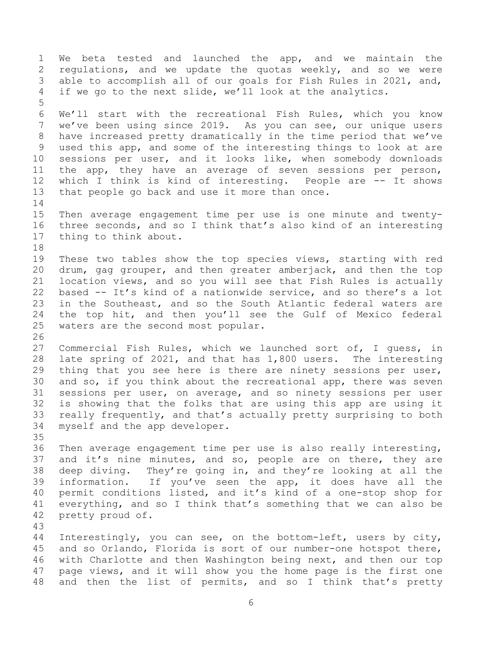We beta tested and launched the app, and we maintain the regulations, and we update the quotas weekly, and so we were able to accomplish all of our goals for Fish Rules in 2021, and, if we go to the next slide, we'll look at the analytics. We'll start with the recreational Fish Rules, which you know we've been using since 2019. As you can see, our unique users have increased pretty dramatically in the time period that we've used this app, and some of the interesting things to look at are sessions per user, and it looks like, when somebody downloads the app, they have an average of seven sessions per person, which I think is kind of interesting. People are -- It shows that people go back and use it more than once. Then average engagement time per use is one minute and twenty- three seconds, and so I think that's also kind of an interesting thing to think about. These two tables show the top species views, starting with red drum, gag grouper, and then greater amberjack, and then the top location views, and so you will see that Fish Rules is actually based -- It's kind of a nationwide service, and so there's a lot in the Southeast, and so the South Atlantic federal waters are the top hit, and then you'll see the Gulf of Mexico federal waters are the second most popular. Commercial Fish Rules, which we launched sort of, I guess, in late spring of 2021, and that has 1,800 users. The interesting thing that you see here is there are ninety sessions per user, and so, if you think about the recreational app, there was seven sessions per user, on average, and so ninety sessions per user is showing that the folks that are using this app are using it really frequently, and that's actually pretty surprising to both myself and the app developer. Then average engagement time per use is also really interesting, 37 and it's nine minutes, and so, people are on there, they are deep diving. They're going in, and they're looking at all the information. If you've seen the app, it does have all the permit conditions listed, and it's kind of a one-stop shop for everything, and so I think that's something that we can also be pretty proud of. Interestingly, you can see, on the bottom-left, users by city, and so Orlando, Florida is sort of our number-one hotspot there, with Charlotte and then Washington being next, and then our top page views, and it will show you the home page is the first one and then the list of permits, and so I think that's pretty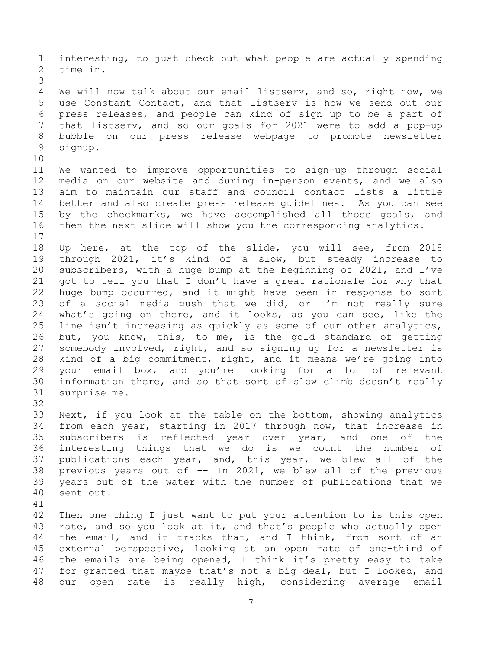interesting, to just check out what people are actually spending time in. We will now talk about our email listserv, and so, right now, we use Constant Contact, and that listserv is how we send out our press releases, and people can kind of sign up to be a part of that listserv, and so our goals for 2021 were to add a pop-up bubble on our press release webpage to promote newsletter signup. We wanted to improve opportunities to sign-up through social media on our website and during in-person events, and we also aim to maintain our staff and council contact lists a little better and also create press release guidelines. As you can see by the checkmarks, we have accomplished all those goals, and then the next slide will show you the corresponding analytics. Up here, at the top of the slide, you will see, from 2018 through 2021, it's kind of a slow, but steady increase to subscribers, with a huge bump at the beginning of 2021, and I've got to tell you that I don't have a great rationale for why that huge bump occurred, and it might have been in response to sort of a social media push that we did, or I'm not really sure what's going on there, and it looks, as you can see, like the line isn't increasing as quickly as some of our other analytics, but, you know, this, to me, is the gold standard of getting somebody involved, right, and so signing up for a newsletter is kind of a big commitment, right, and it means we're going into your email box, and you're looking for a lot of relevant information there, and so that sort of slow climb doesn't really surprise me. Next, if you look at the table on the bottom, showing analytics from each year, starting in 2017 through now, that increase in subscribers is reflected year over year, and one of the interesting things that we do is we count the number of publications each year, and, this year, we blew all of the previous years out of -- In 2021, we blew all of the previous years out of the water with the number of publications that we sent out. Then one thing I just want to put your attention to is this open rate, and so you look at it, and that's people who actually open 44 the email, and it tracks that, and I think, from sort of an external perspective, looking at an open rate of one-third of the emails are being opened, I think it's pretty easy to take for granted that maybe that's not a big deal, but I looked, and

our open rate is really high, considering average email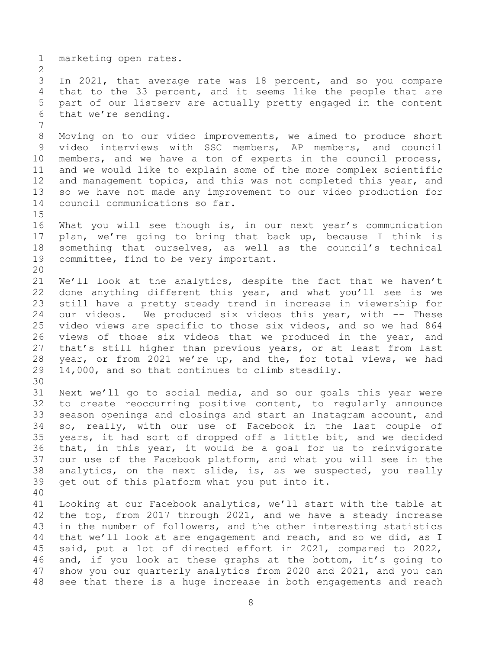marketing open rates.

 In 2021, that average rate was 18 percent, and so you compare that to the 33 percent, and it seems like the people that are part of our listserv are actually pretty engaged in the content that we're sending.

 Moving on to our video improvements, we aimed to produce short video interviews with SSC members, AP members, and council members, and we have a ton of experts in the council process, and we would like to explain some of the more complex scientific and management topics, and this was not completed this year, and so we have not made any improvement to our video production for council communications so far.

 What you will see though is, in our next year's communication plan, we're going to bring that back up, because I think is something that ourselves, as well as the council's technical committee, find to be very important. 

 We'll look at the analytics, despite the fact that we haven't done anything different this year, and what you'll see is we still have a pretty steady trend in increase in viewership for our videos. We produced six videos this year, with -- These video views are specific to those six videos, and so we had 864 views of those six videos that we produced in the year, and that's still higher than previous years, or at least from last year, or from 2021 we're up, and the, for total views, we had 14,000, and so that continues to climb steadily.

- Next we'll go to social media, and so our goals this year were to create reoccurring positive content, to regularly announce season openings and closings and start an Instagram account, and so, really, with our use of Facebook in the last couple of years, it had sort of dropped off a little bit, and we decided that, in this year, it would be a goal for us to reinvigorate our use of the Facebook platform, and what you will see in the analytics, on the next slide, is, as we suspected, you really get out of this platform what you put into it.
- 

 Looking at our Facebook analytics, we'll start with the table at the top, from 2017 through 2021, and we have a steady increase in the number of followers, and the other interesting statistics that we'll look at are engagement and reach, and so we did, as I said, put a lot of directed effort in 2021, compared to 2022, and, if you look at these graphs at the bottom, it's going to show you our quarterly analytics from 2020 and 2021, and you can see that there is a huge increase in both engagements and reach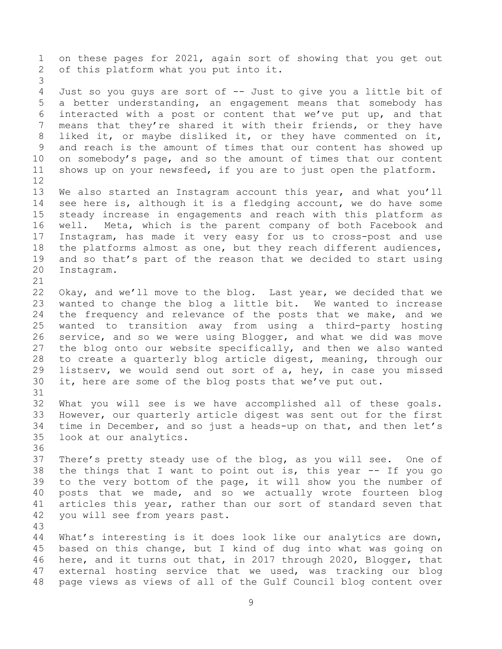on these pages for 2021, again sort of showing that you get out of this platform what you put into it. 

 Just so you guys are sort of -- Just to give you a little bit of a better understanding, an engagement means that somebody has interacted with a post or content that we've put up, and that means that they're shared it with their friends, or they have liked it, or maybe disliked it, or they have commented on it, and reach is the amount of times that our content has showed up on somebody's page, and so the amount of times that our content shows up on your newsfeed, if you are to just open the platform. 

 We also started an Instagram account this year, and what you'll see here is, although it is a fledging account, we do have some steady increase in engagements and reach with this platform as well. Meta, which is the parent company of both Facebook and Instagram, has made it very easy for us to cross-post and use the platforms almost as one, but they reach different audiences, and so that's part of the reason that we decided to start using Instagram.

 Okay, and we'll move to the blog. Last year, we decided that we wanted to change the blog a little bit. We wanted to increase the frequency and relevance of the posts that we make, and we wanted to transition away from using a third-party hosting service, and so we were using Blogger, and what we did was move the blog onto our website specifically, and then we also wanted to create a quarterly blog article digest, meaning, through our listserv, we would send out sort of a, hey, in case you missed it, here are some of the blog posts that we've put out.

 What you will see is we have accomplished all of these goals. However, our quarterly article digest was sent out for the first time in December, and so just a heads-up on that, and then let's look at our analytics.

 There's pretty steady use of the blog, as you will see. One of the things that I want to point out is, this year -- If you go to the very bottom of the page, it will show you the number of posts that we made, and so we actually wrote fourteen blog articles this year, rather than our sort of standard seven that you will see from years past.

 What's interesting is it does look like our analytics are down, based on this change, but I kind of dug into what was going on here, and it turns out that, in 2017 through 2020, Blogger, that external hosting service that we used, was tracking our blog page views as views of all of the Gulf Council blog content over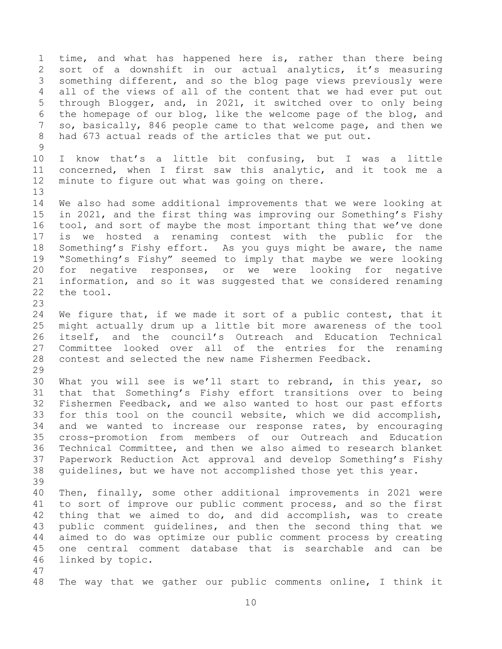time, and what has happened here is, rather than there being sort of a downshift in our actual analytics, it's measuring something different, and so the blog page views previously were all of the views of all of the content that we had ever put out through Blogger, and, in 2021, it switched over to only being the homepage of our blog, like the welcome page of the blog, and so, basically, 846 people came to that welcome page, and then we had 673 actual reads of the articles that we put out. I know that's a little bit confusing, but I was a little concerned, when I first saw this analytic, and it took me a minute to figure out what was going on there. We also had some additional improvements that we were looking at in 2021, and the first thing was improving our Something's Fishy tool, and sort of maybe the most important thing that we've done is we hosted a renaming contest with the public for the Something's Fishy effort. As you guys might be aware, the name "Something's Fishy" seemed to imply that maybe we were looking for negative responses, or we were looking for negative information, and so it was suggested that we considered renaming the tool. We figure that, if we made it sort of a public contest, that it might actually drum up a little bit more awareness of the tool itself, and the council's Outreach and Education Technical Committee looked over all of the entries for the renaming contest and selected the new name Fishermen Feedback. What you will see is we'll start to rebrand, in this year, so that that Something's Fishy effort transitions over to being Fishermen Feedback, and we also wanted to host our past efforts for this tool on the council website, which we did accomplish, and we wanted to increase our response rates, by encouraging cross-promotion from members of our Outreach and Education Technical Committee, and then we also aimed to research blanket Paperwork Reduction Act approval and develop Something's Fishy guidelines, but we have not accomplished those yet this year. Then, finally, some other additional improvements in 2021 were to sort of improve our public comment process, and so the first thing that we aimed to do, and did accomplish, was to create public comment guidelines, and then the second thing that we aimed to do was optimize our public comment process by creating one central comment database that is searchable and can be linked by topic. The way that we gather our public comments online, I think it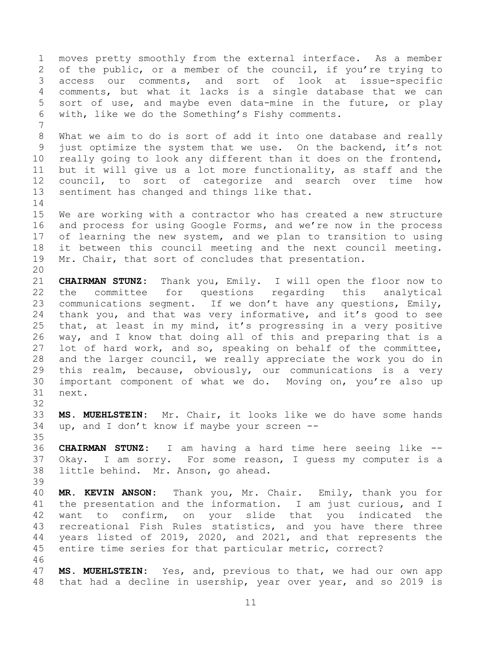moves pretty smoothly from the external interface. As a member of the public, or a member of the council, if you're trying to access our comments, and sort of look at issue-specific comments, but what it lacks is a single database that we can sort of use, and maybe even data-mine in the future, or play with, like we do the Something's Fishy comments. What we aim to do is sort of add it into one database and really just optimize the system that we use. On the backend, it's not really going to look any different than it does on the frontend, but it will give us a lot more functionality, as staff and the council, to sort of categorize and search over time how sentiment has changed and things like that. We are working with a contractor who has created a new structure and process for using Google Forms, and we're now in the process of learning the new system, and we plan to transition to using it between this council meeting and the next council meeting. Mr. Chair, that sort of concludes that presentation. **CHAIRMAN STUNZ:** Thank you, Emily. I will open the floor now to the committee for questions regarding this analytical communications segment. If we don't have any questions, Emily, thank you, and that was very informative, and it's good to see that, at least in my mind, it's progressing in a very positive way, and I know that doing all of this and preparing that is a lot of hard work, and so, speaking on behalf of the committee, and the larger council, we really appreciate the work you do in this realm, because, obviously, our communications is a very important component of what we do. Moving on, you're also up next. **MS. MUEHLSTEIN:** Mr. Chair, it looks like we do have some hands up, and I don't know if maybe your screen -- **CHAIRMAN STUNZ:** I am having a hard time here seeing like -- Okay. I am sorry. For some reason, I guess my computer is a little behind. Mr. Anson, go ahead. **MR. KEVIN ANSON:** Thank you, Mr. Chair. Emily, thank you for 41 the presentation and the information. I am just curious, and I want to confirm, on your slide that you indicated the recreational Fish Rules statistics, and you have there three years listed of 2019, 2020, and 2021, and that represents the entire time series for that particular metric, correct? 

 **MS. MUEHLSTEIN:** Yes, and, previous to that, we had our own app that had a decline in usership, year over year, and so 2019 is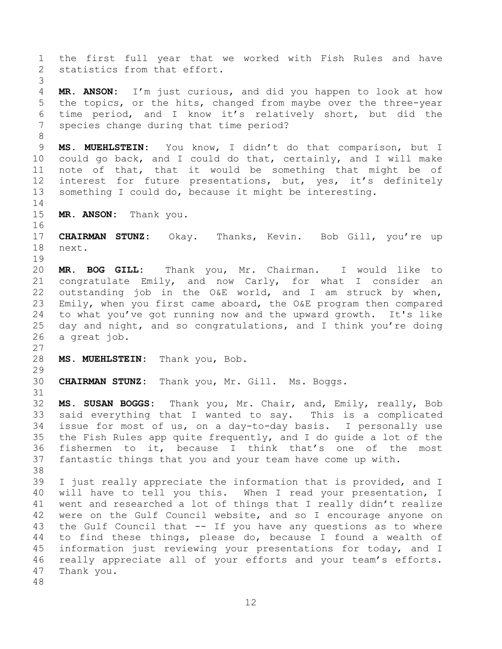the first full year that we worked with Fish Rules and have statistics from that effort. **MR. ANSON:** I'm just curious, and did you happen to look at how the topics, or the hits, changed from maybe over the three-year time period, and I know it's relatively short, but did the species change during that time period? **MS. MUEHLSTEIN:** You know, I didn't do that comparison, but I could go back, and I could do that, certainly, and I will make note of that, that it would be something that might be of 12 interest for future presentations, but, yes, it's definitely something I could do, because it might be interesting. **MR. ANSON:** Thank you. **CHAIRMAN STUNZ:** Okay. Thanks, Kevin. Bob Gill, you're up next. **MR. BOG GILL:** Thank you, Mr. Chairman. I would like to congratulate Emily, and now Carly, for what I consider an outstanding job in the O&E world, and I am struck by when, Emily, when you first came aboard, the O&E program then compared to what you've got running now and the upward growth. It's like day and night, and so congratulations, and I think you're doing a great job. **MS. MUEHLSTEIN:** Thank you, Bob. **CHAIRMAN STUNZ:** Thank you, Mr. Gill. Ms. Boggs. **MS. SUSAN BOGGS:** Thank you, Mr. Chair, and, Emily, really, Bob said everything that I wanted to say. This is a complicated issue for most of us, on a day-to-day basis. I personally use the Fish Rules app quite frequently, and I do guide a lot of the fishermen to it, because I think that's one of the most fantastic things that you and your team have come up with. I just really appreciate the information that is provided, and I will have to tell you this. When I read your presentation, I went and researched a lot of things that I really didn't realize were on the Gulf Council website, and so I encourage anyone on the Gulf Council that -- If you have any questions as to where to find these things, please do, because I found a wealth of information just reviewing your presentations for today, and I really appreciate all of your efforts and your team's efforts. Thank you. 

```
12
```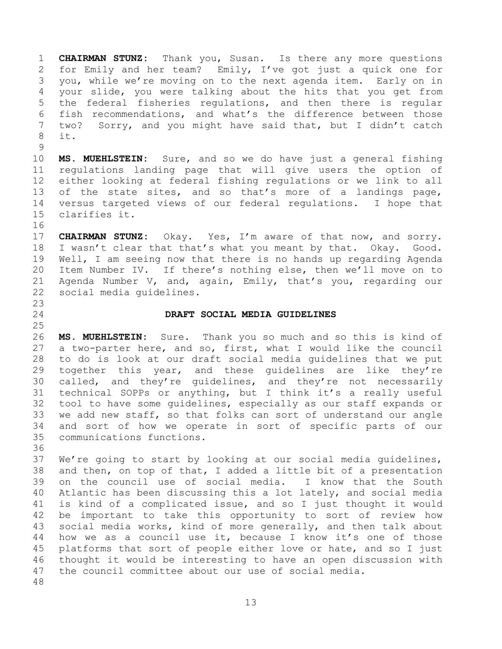**CHAIRMAN STUNZ:** Thank you, Susan. Is there any more questions for Emily and her team? Emily, I've got just a quick one for you, while we're moving on to the next agenda item. Early on in your slide, you were talking about the hits that you get from the federal fisheries regulations, and then there is regular fish recommendations, and what's the difference between those two? Sorry, and you might have said that, but I didn't catch it.

 **MS. MUEHLSTEIN:** Sure, and so we do have just a general fishing regulations landing page that will give users the option of either looking at federal fishing regulations or we link to all 13 of the state sites, and so that's more of a landings page, versus targeted views of our federal regulations. I hope that clarifies it.

 **CHAIRMAN STUNZ:** Okay. Yes, I'm aware of that now, and sorry. I wasn't clear that that's what you meant by that. Okay. Good. Well, I am seeing now that there is no hands up regarding Agenda Item Number IV. If there's nothing else, then we'll move on to Agenda Number V, and, again, Emily, that's you, regarding our social media guidelines.

 

### <span id="page-12-0"></span>**DRAFT SOCIAL MEDIA GUIDELINES**

 **MS. MUEHLSTEIN:** Sure. Thank you so much and so this is kind of a two-parter here, and so, first, what I would like the council to do is look at our draft social media guidelines that we put together this year, and these guidelines are like they're called, and they're guidelines, and they're not necessarily technical SOPPs or anything, but I think it's a really useful tool to have some guidelines, especially as our staff expands or we add new staff, so that folks can sort of understand our angle and sort of how we operate in sort of specific parts of our communications functions.

 We're going to start by looking at our social media guidelines, and then, on top of that, I added a little bit of a presentation on the council use of social media. I know that the South Atlantic has been discussing this a lot lately, and social media is kind of a complicated issue, and so I just thought it would be important to take this opportunity to sort of review how social media works, kind of more generally, and then talk about how we as a council use it, because I know it's one of those 45 platforms that sort of people either love or hate, and so I just thought it would be interesting to have an open discussion with the council committee about our use of social media.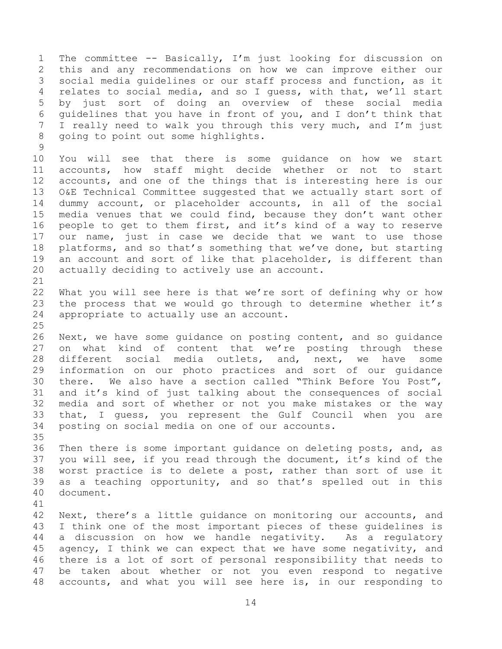The committee -- Basically, I'm just looking for discussion on this and any recommendations on how we can improve either our social media guidelines or our staff process and function, as it relates to social media, and so I guess, with that, we'll start by just sort of doing an overview of these social media guidelines that you have in front of you, and I don't think that I really need to walk you through this very much, and I'm just going to point out some highlights. 

 You will see that there is some guidance on how we start accounts, how staff might decide whether or not to start accounts, and one of the things that is interesting here is our O&E Technical Committee suggested that we actually start sort of dummy account, or placeholder accounts, in all of the social media venues that we could find, because they don't want other people to get to them first, and it's kind of a way to reserve our name, just in case we decide that we want to use those 18 platforms, and so that's something that we've done, but starting an account and sort of like that placeholder, is different than actually deciding to actively use an account.

 What you will see here is that we're sort of defining why or how the process that we would go through to determine whether it's appropriate to actually use an account.

 Next, we have some guidance on posting content, and so guidance on what kind of content that we're posting through these different social media outlets, and, next, we have some information on our photo practices and sort of our guidance there. We also have a section called "Think Before You Post", and it's kind of just talking about the consequences of social media and sort of whether or not you make mistakes or the way that, I guess, you represent the Gulf Council when you are posting on social media on one of our accounts.

 Then there is some important guidance on deleting posts, and, as you will see, if you read through the document, it's kind of the worst practice is to delete a post, rather than sort of use it as a teaching opportunity, and so that's spelled out in this document.

 Next, there's a little guidance on monitoring our accounts, and I think one of the most important pieces of these guidelines is a discussion on how we handle negativity. As a regulatory agency, I think we can expect that we have some negativity, and there is a lot of sort of personal responsibility that needs to be taken about whether or not you even respond to negative accounts, and what you will see here is, in our responding to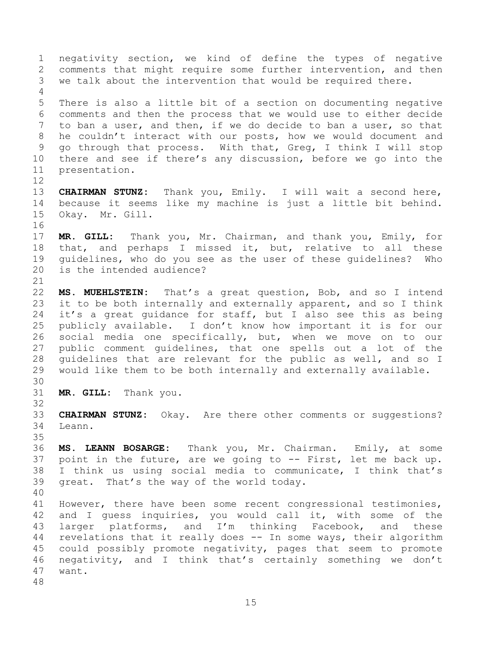negativity section, we kind of define the types of negative comments that might require some further intervention, and then we talk about the intervention that would be required there. There is also a little bit of a section on documenting negative comments and then the process that we would use to either decide to ban a user, and then, if we do decide to ban a user, so that he couldn't interact with our posts, how we would document and go through that process. With that, Greg, I think I will stop there and see if there's any discussion, before we go into the presentation. **CHAIRMAN STUNZ:** Thank you, Emily. I will wait a second here, because it seems like my machine is just a little bit behind. Okay. Mr. Gill. **MR. GILL:** Thank you, Mr. Chairman, and thank you, Emily, for that, and perhaps I missed it, but, relative to all these guidelines, who do you see as the user of these guidelines? Who is the intended audience? **MS. MUEHLSTEIN:** That's a great question, Bob, and so I intend it to be both internally and externally apparent, and so I think it's a great guidance for staff, but I also see this as being publicly available. I don't know how important it is for our social media one specifically, but, when we move on to our public comment guidelines, that one spells out a lot of the guidelines that are relevant for the public as well, and so I would like them to be both internally and externally available. **MR. GILL:** Thank you. **CHAIRMAN STUNZ:** Okay. Are there other comments or suggestions? Leann. **MS. LEANN BOSARGE:** Thank you, Mr. Chairman. Emily, at some point in the future, are we going to -- First, let me back up. I think us using social media to communicate, I think that's great. That's the way of the world today. However, there have been some recent congressional testimonies, and I guess inquiries, you would call it, with some of the larger platforms, and I'm thinking Facebook, and these revelations that it really does -- In some ways, their algorithm could possibly promote negativity, pages that seem to promote negativity, and I think that's certainly something we don't want.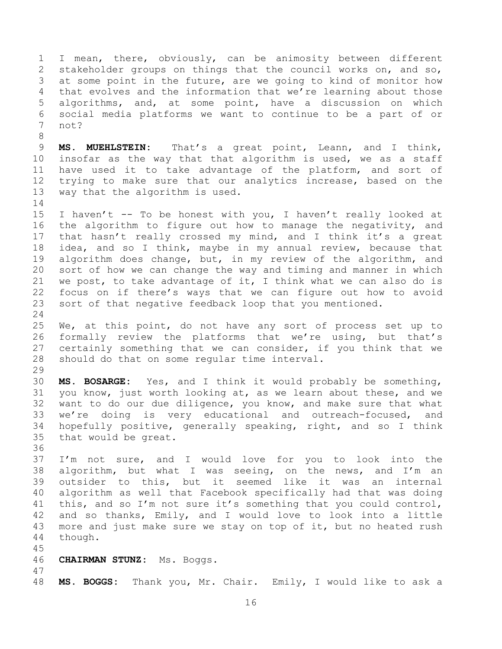I mean, there, obviously, can be animosity between different stakeholder groups on things that the council works on, and so, at some point in the future, are we going to kind of monitor how that evolves and the information that we're learning about those algorithms, and, at some point, have a discussion on which social media platforms we want to continue to be a part of or not?

 **MS. MUEHLSTEIN:** That's a great point, Leann, and I think, insofar as the way that that algorithm is used, we as a staff have used it to take advantage of the platform, and sort of trying to make sure that our analytics increase, based on the way that the algorithm is used.

 I haven't -- To be honest with you, I haven't really looked at the algorithm to figure out how to manage the negativity, and that hasn't really crossed my mind, and I think it's a great idea, and so I think, maybe in my annual review, because that algorithm does change, but, in my review of the algorithm, and sort of how we can change the way and timing and manner in which 21 we post, to take advantage of it, I think what we can also do is focus on if there's ways that we can figure out how to avoid sort of that negative feedback loop that you mentioned. 

 We, at this point, do not have any sort of process set up to formally review the platforms that we're using, but that's certainly something that we can consider, if you think that we should do that on some regular time interval. 

 **MS. BOSARGE:** Yes, and I think it would probably be something, you know, just worth looking at, as we learn about these, and we want to do our due diligence, you know, and make sure that what we're doing is very educational and outreach-focused, and hopefully positive, generally speaking, right, and so I think that would be great.

 I'm not sure, and I would love for you to look into the 38 algorithm, but what I was seeing, on the news, and I'm an outsider to this, but it seemed like it was an internal algorithm as well that Facebook specifically had that was doing this, and so I'm not sure it's something that you could control, and so thanks, Emily, and I would love to look into a little more and just make sure we stay on top of it, but no heated rush though.

### **CHAIRMAN STUNZ:** Ms. Boggs.

**MS. BOGGS:** Thank you, Mr. Chair. Emily, I would like to ask a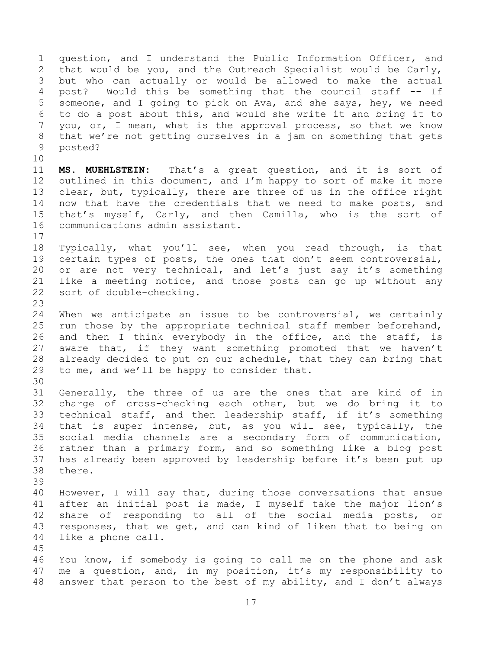question, and I understand the Public Information Officer, and that would be you, and the Outreach Specialist would be Carly, but who can actually or would be allowed to make the actual post? Would this be something that the council staff -- If someone, and I going to pick on Ava, and she says, hey, we need to do a post about this, and would she write it and bring it to you, or, I mean, what is the approval process, so that we know that we're not getting ourselves in a jam on something that gets posted?

 **MS. MUEHLSTEIN:** That's a great question, and it is sort of 12 outlined in this document, and I'm happy to sort of make it more clear, but, typically, there are three of us in the office right now that have the credentials that we need to make posts, and that's myself, Carly, and then Camilla, who is the sort of communications admin assistant.

 Typically, what you'll see, when you read through, is that certain types of posts, the ones that don't seem controversial, or are not very technical, and let's just say it's something like a meeting notice, and those posts can go up without any sort of double-checking.

 When we anticipate an issue to be controversial, we certainly run those by the appropriate technical staff member beforehand, 26 and then I think everybody in the office, and the staff, is aware that, if they want something promoted that we haven't already decided to put on our schedule, that they can bring that to me, and we'll be happy to consider that.

 Generally, the three of us are the ones that are kind of in charge of cross-checking each other, but we do bring it to technical staff, and then leadership staff, if it's something that is super intense, but, as you will see, typically, the social media channels are a secondary form of communication, rather than a primary form, and so something like a blog post has already been approved by leadership before it's been put up there.

 However, I will say that, during those conversations that ensue after an initial post is made, I myself take the major lion's share of responding to all of the social media posts, or responses, that we get, and can kind of liken that to being on like a phone call.

 You know, if somebody is going to call me on the phone and ask me a question, and, in my position, it's my responsibility to answer that person to the best of my ability, and I don't always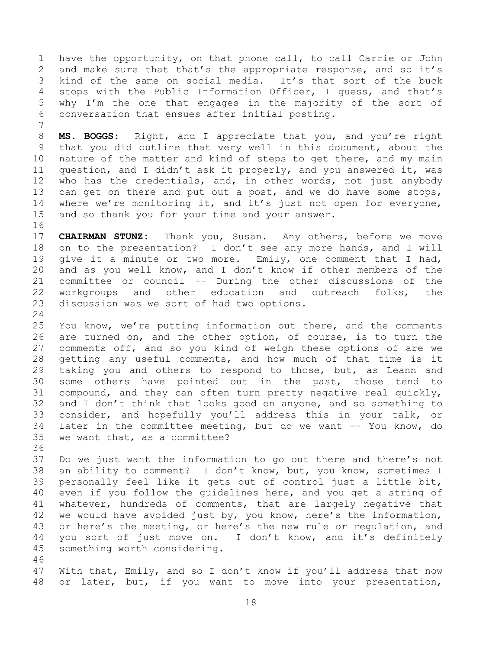have the opportunity, on that phone call, to call Carrie or John and make sure that that's the appropriate response, and so it's kind of the same on social media. It's that sort of the buck stops with the Public Information Officer, I guess, and that's why I'm the one that engages in the majority of the sort of conversation that ensues after initial posting.

 **MS. BOGGS:** Right, and I appreciate that you, and you're right that you did outline that very well in this document, about the nature of the matter and kind of steps to get there, and my main question, and I didn't ask it properly, and you answered it, was who has the credentials, and, in other words, not just anybody 13 can get on there and put out a post, and we do have some stops, 14 where we're monitoring it, and it's just not open for everyone, and so thank you for your time and your answer.

 **CHAIRMAN STUNZ:** Thank you, Susan. Any others, before we move on to the presentation? I don't see any more hands, and I will give it a minute or two more. Emily, one comment that I had, and as you well know, and I don't know if other members of the committee or council -- During the other discussions of the 22 workgroups and other education and outreach folks, the discussion was we sort of had two options.

 You know, we're putting information out there, and the comments are turned on, and the other option, of course, is to turn the comments off, and so you kind of weigh these options of are we getting any useful comments, and how much of that time is it taking you and others to respond to those, but, as Leann and some others have pointed out in the past, those tend to compound, and they can often turn pretty negative real quickly, and I don't think that looks good on anyone, and so something to consider, and hopefully you'll address this in your talk, or later in the committee meeting, but do we want -- You know, do we want that, as a committee?

 Do we just want the information to go out there and there's not an ability to comment? I don't know, but, you know, sometimes I personally feel like it gets out of control just a little bit, even if you follow the guidelines here, and you get a string of whatever, hundreds of comments, that are largely negative that we would have avoided just by, you know, here's the information, or here's the meeting, or here's the new rule or regulation, and you sort of just move on. I don't know, and it's definitely something worth considering. 

 With that, Emily, and so I don't know if you'll address that now or later, but, if you want to move into your presentation,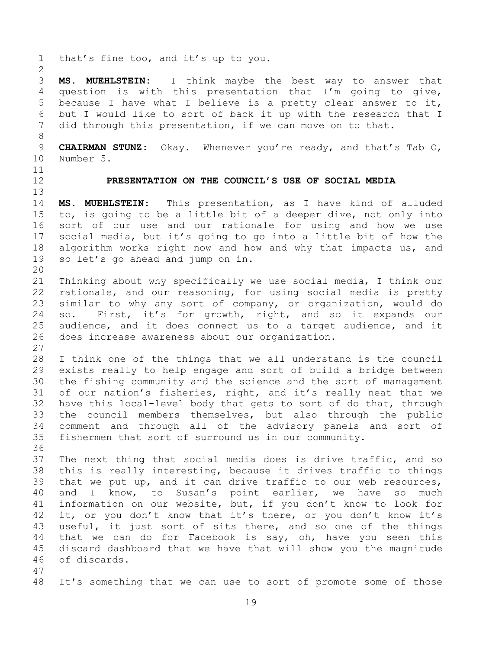<span id="page-18-0"></span> that's fine too, and it's up to you. **MS. MUEHLSTEIN:** I think maybe the best way to answer that question is with this presentation that I'm going to give, because I have what I believe is a pretty clear answer to it, but I would like to sort of back it up with the research that I did through this presentation, if we can move on to that. **CHAIRMAN STUNZ:** Okay. Whenever you're ready, and that's Tab O, Number 5. **PRESENTATION ON THE COUNCIL'S USE OF SOCIAL MEDIA MS. MUEHLSTEIN:** This presentation, as I have kind of alluded to, is going to be a little bit of a deeper dive, not only into sort of our use and our rationale for using and how we use social media, but it's going to go into a little bit of how the algorithm works right now and how and why that impacts us, and so let's go ahead and jump on in. Thinking about why specifically we use social media, I think our rationale, and our reasoning, for using social media is pretty similar to why any sort of company, or organization, would do so. First, it's for growth, right, and so it expands our audience, and it does connect us to a target audience, and it does increase awareness about our organization. I think one of the things that we all understand is the council exists really to help engage and sort of build a bridge between the fishing community and the science and the sort of management of our nation's fisheries, right, and it's really neat that we have this local-level body that gets to sort of do that, through the council members themselves, but also through the public comment and through all of the advisory panels and sort of fishermen that sort of surround us in our community. The next thing that social media does is drive traffic, and so this is really interesting, because it drives traffic to things that we put up, and it can drive traffic to our web resources, and I know, to Susan's point earlier, we have so much information on our website, but, if you don't know to look for 42 it, or you don't know that it's there, or you don't know it's useful, it just sort of sits there, and so one of the things that we can do for Facebook is say, oh, have you seen this discard dashboard that we have that will show you the magnitude of discards. It's something that we can use to sort of promote some of those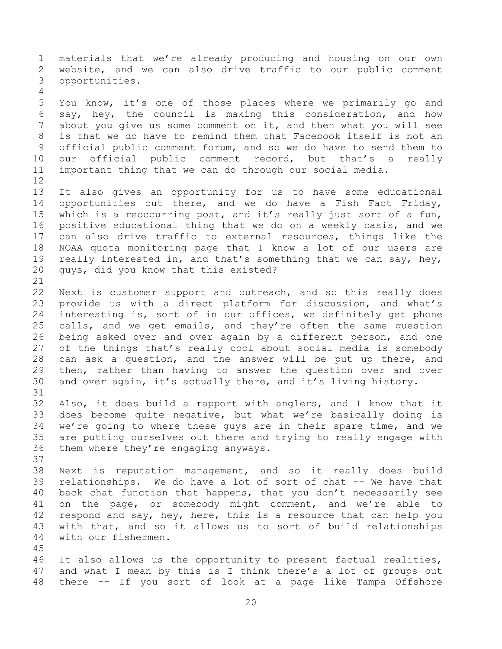materials that we're already producing and housing on our own website, and we can also drive traffic to our public comment opportunities.

 You know, it's one of those places where we primarily go and say, hey, the council is making this consideration, and how about you give us some comment on it, and then what you will see is that we do have to remind them that Facebook itself is not an official public comment forum, and so we do have to send them to our official public comment record, but that's a really important thing that we can do through our social media.

 It also gives an opportunity for us to have some educational opportunities out there, and we do have a Fish Fact Friday, which is a reoccurring post, and it's really just sort of a fun, positive educational thing that we do on a weekly basis, and we can also drive traffic to external resources, things like the NOAA quota monitoring page that I know a lot of our users are 19 really interested in, and that's something that we can say, hey, guys, did you know that this existed? 

 Next is customer support and outreach, and so this really does provide us with a direct platform for discussion, and what's interesting is, sort of in our offices, we definitely get phone calls, and we get emails, and they're often the same question being asked over and over again by a different person, and one of the things that's really cool about social media is somebody can ask a question, and the answer will be put up there, and then, rather than having to answer the question over and over and over again, it's actually there, and it's living history.

 Also, it does build a rapport with anglers, and I know that it does become quite negative, but what we're basically doing is we're going to where these guys are in their spare time, and we are putting ourselves out there and trying to really engage with them where they're engaging anyways. 

 Next is reputation management, and so it really does build relationships. We do have a lot of sort of chat -- We have that back chat function that happens, that you don't necessarily see on the page, or somebody might comment, and we're able to 42 respond and say, hey, here, this is a resource that can help you with that, and so it allows us to sort of build relationships with our fishermen.

 It also allows us the opportunity to present factual realities, and what I mean by this is I think there's a lot of groups out there -- If you sort of look at a page like Tampa Offshore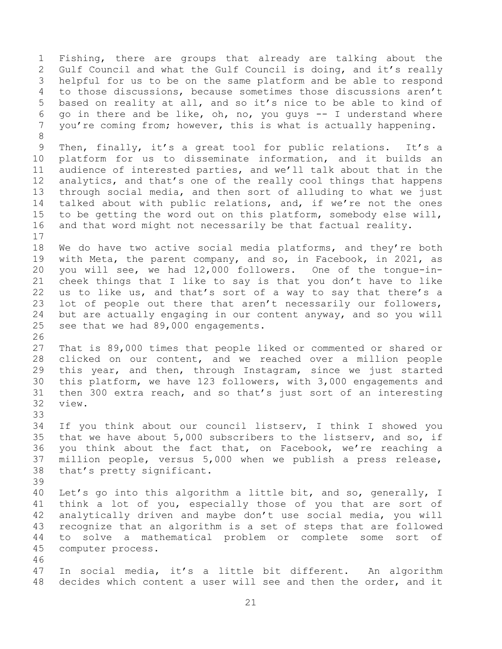Fishing, there are groups that already are talking about the Gulf Council and what the Gulf Council is doing, and it's really helpful for us to be on the same platform and be able to respond to those discussions, because sometimes those discussions aren't based on reality at all, and so it's nice to be able to kind of 6 go in there and be like, oh, no, you guys  $-$ - I understand where you're coming from; however, this is what is actually happening. Then, finally, it's a great tool for public relations. It's a platform for us to disseminate information, and it builds an audience of interested parties, and we'll talk about that in the analytics, and that's one of the really cool things that happens through social media, and then sort of alluding to what we just talked about with public relations, and, if we're not the ones to be getting the word out on this platform, somebody else will, and that word might not necessarily be that factual reality. We do have two active social media platforms, and they're both with Meta, the parent company, and so, in Facebook, in 2021, as you will see, we had 12,000 followers. One of the tongue-in- cheek things that I like to say is that you don't have to like us to like us, and that's sort of a way to say that there's a lot of people out there that aren't necessarily our followers, but are actually engaging in our content anyway, and so you will see that we had 89,000 engagements. That is 89,000 times that people liked or commented or shared or clicked on our content, and we reached over a million people this year, and then, through Instagram, since we just started this platform, we have 123 followers, with 3,000 engagements and then 300 extra reach, and so that's just sort of an interesting view. If you think about our council listserv, I think I showed you that we have about 5,000 subscribers to the listserv, and so, if you think about the fact that, on Facebook, we're reaching a million people, versus 5,000 when we publish a press release, that's pretty significant. Let's go into this algorithm a little bit, and so, generally, I think a lot of you, especially those of you that are sort of analytically driven and maybe don't use social media, you will recognize that an algorithm is a set of steps that are followed to solve a mathematical problem or complete some sort of computer process. In social media, it's a little bit different. An algorithm decides which content a user will see and then the order, and it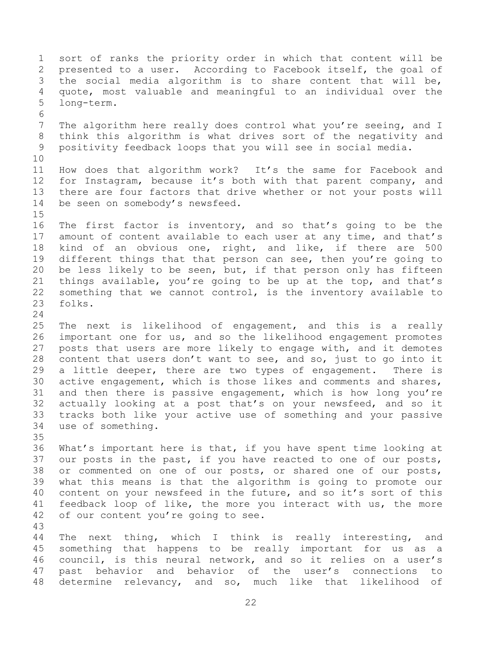sort of ranks the priority order in which that content will be presented to a user. According to Facebook itself, the goal of the social media algorithm is to share content that will be, quote, most valuable and meaningful to an individual over the long-term. The algorithm here really does control what you're seeing, and I think this algorithm is what drives sort of the negativity and positivity feedback loops that you will see in social media. How does that algorithm work? It's the same for Facebook and for Instagram, because it's both with that parent company, and there are four factors that drive whether or not your posts will be seen on somebody's newsfeed. The first factor is inventory, and so that's going to be the amount of content available to each user at any time, and that's kind of an obvious one, right, and like, if there are 500 different things that that person can see, then you're going to be less likely to be seen, but, if that person only has fifteen things available, you're going to be up at the top, and that's something that we cannot control, is the inventory available to folks. The next is likelihood of engagement, and this is a really important one for us, and so the likelihood engagement promotes posts that users are more likely to engage with, and it demotes content that users don't want to see, and so, just to go into it a little deeper, there are two types of engagement. There is active engagement, which is those likes and comments and shares, and then there is passive engagement, which is how long you're actually looking at a post that's on your newsfeed, and so it tracks both like your active use of something and your passive use of something. What's important here is that, if you have spent time looking at our posts in the past, if you have reacted to one of our posts, or commented on one of our posts, or shared one of our posts, what this means is that the algorithm is going to promote our content on your newsfeed in the future, and so it's sort of this feedback loop of like, the more you interact with us, the more of our content you're going to see. The next thing, which I think is really interesting, and something that happens to be really important for us as a council, is this neural network, and so it relies on a user's past behavior and behavior of the user's connections to determine relevancy, and so, much like that likelihood of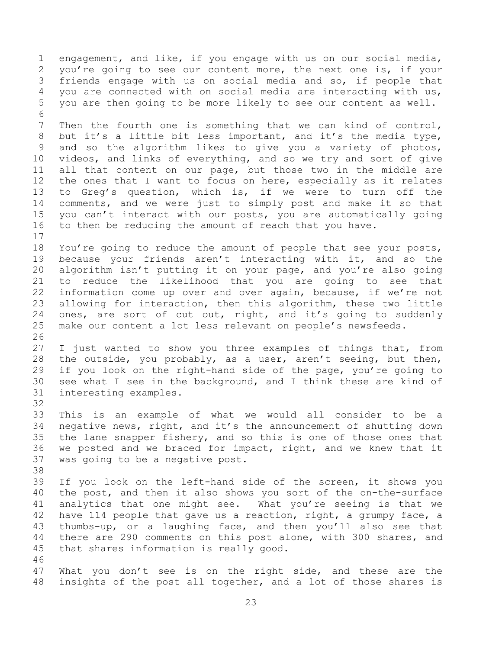engagement, and like, if you engage with us on our social media, you're going to see our content more, the next one is, if your friends engage with us on social media and so, if people that you are connected with on social media are interacting with us, you are then going to be more likely to see our content as well. Then the fourth one is something that we can kind of control, but it's a little bit less important, and it's the media type,

 and so the algorithm likes to give you a variety of photos, videos, and links of everything, and so we try and sort of give all that content on our page, but those two in the middle are the ones that I want to focus on here, especially as it relates to Greg's question, which is, if we were to turn off the comments, and we were just to simply post and make it so that you can't interact with our posts, you are automatically going to then be reducing the amount of reach that you have. 

 You're going to reduce the amount of people that see your posts, because your friends aren't interacting with it, and so the algorithm isn't putting it on your page, and you're also going to reduce the likelihood that you are going to see that information come up over and over again, because, if we're not allowing for interaction, then this algorithm, these two little ones, are sort of cut out, right, and it's going to suddenly make our content a lot less relevant on people's newsfeeds. 

 I just wanted to show you three examples of things that, from the outside, you probably, as a user, aren't seeing, but then, if you look on the right-hand side of the page, you're going to see what I see in the background, and I think these are kind of interesting examples.

 This is an example of what we would all consider to be a negative news, right, and it's the announcement of shutting down the lane snapper fishery, and so this is one of those ones that we posted and we braced for impact, right, and we knew that it was going to be a negative post.

 If you look on the left-hand side of the screen, it shows you the post, and then it also shows you sort of the on-the-surface analytics that one might see. What you're seeing is that we 42 have 114 people that gave us a reaction, right, a grumpy face, a thumbs-up, or a laughing face, and then you'll also see that there are 290 comments on this post alone, with 300 shares, and that shares information is really good. 

 What you don't see is on the right side, and these are the insights of the post all together, and a lot of those shares is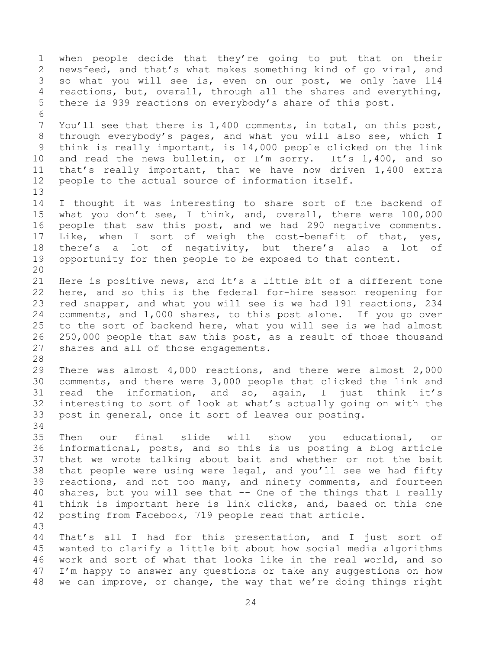when people decide that they're going to put that on their newsfeed, and that's what makes something kind of go viral, and so what you will see is, even on our post, we only have 114 reactions, but, overall, through all the shares and everything, there is 939 reactions on everybody's share of this post. You'll see that there is 1,400 comments, in total, on this post, through everybody's pages, and what you will also see, which I think is really important, is 14,000 people clicked on the link and read the news bulletin, or I'm sorry. It's 1,400, and so that's really important, that we have now driven 1,400 extra people to the actual source of information itself. I thought it was interesting to share sort of the backend of what you don't see, I think, and, overall, there were 100,000 people that saw this post, and we had 290 negative comments. Like, when I sort of weigh the cost-benefit of that, yes, there's a lot of negativity, but there's also a lot of opportunity for then people to be exposed to that content. Here is positive news, and it's a little bit of a different tone here, and so this is the federal for-hire season reopening for red snapper, and what you will see is we had 191 reactions, 234 comments, and 1,000 shares, to this post alone. If you go over to the sort of backend here, what you will see is we had almost 250,000 people that saw this post, as a result of those thousand shares and all of those engagements. There was almost 4,000 reactions, and there were almost 2,000 comments, and there were 3,000 people that clicked the link and read the information, and so, again, I just think it's interesting to sort of look at what's actually going on with the post in general, once it sort of leaves our posting. Then our final slide will show you educational, or informational, posts, and so this is us posting a blog article that we wrote talking about bait and whether or not the bait that people were using were legal, and you'll see we had fifty reactions, and not too many, and ninety comments, and fourteen shares, but you will see that -- One of the things that I really think is important here is link clicks, and, based on this one posting from Facebook, 719 people read that article. That's all I had for this presentation, and I just sort of wanted to clarify a little bit about how social media algorithms work and sort of what that looks like in the real world, and so I'm happy to answer any questions or take any suggestions on how we can improve, or change, the way that we're doing things right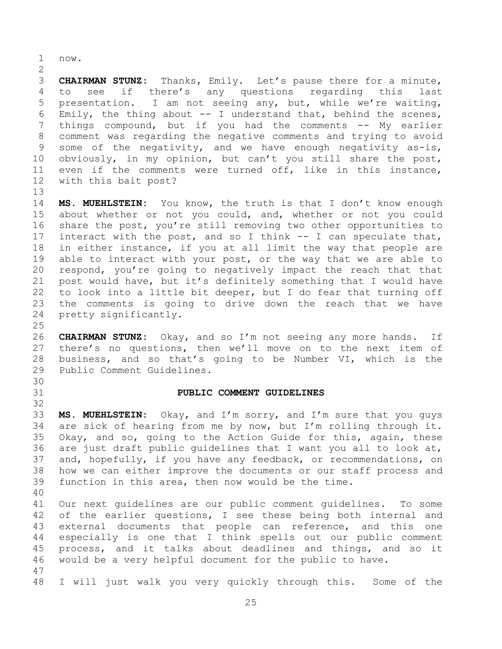now.

 **CHAIRMAN STUNZ:** Thanks, Emily. Let's pause there for a minute, to see if there's any questions regarding this last presentation. I am not seeing any, but, while we're waiting, 6 Emily, the thing about  $--$  I understand that, behind the scenes, 7 things compound, but if you had the comments -- My earlier comment was regarding the negative comments and trying to avoid some of the negativity, and we have enough negativity as-is, obviously, in my opinion, but can't you still share the post, even if the comments were turned off, like in this instance, with this bait post?

 **MS. MUEHLSTEIN:** You know, the truth is that I don't know enough about whether or not you could, and, whether or not you could share the post, you're still removing two other opportunities to interact with the post, and so I think -- I can speculate that, in either instance, if you at all limit the way that people are able to interact with your post, or the way that we are able to respond, you're going to negatively impact the reach that that post would have, but it's definitely something that I would have to look into a little bit deeper, but I do fear that turning off the comments is going to drive down the reach that we have pretty significantly.

 **CHAIRMAN STUNZ:** Okay, and so I'm not seeing any more hands. If there's no questions, then we'll move on to the next item of business, and so that's going to be Number VI, which is the Public Comment Guidelines.

#### <span id="page-24-0"></span>**PUBLIC COMMENT GUIDELINES**

 **MS. MUEHLSTEIN:** Okay, and I'm sorry, and I'm sure that you guys are sick of hearing from me by now, but I'm rolling through it. Okay, and so, going to the Action Guide for this, again, these are just draft public guidelines that I want you all to look at, and, hopefully, if you have any feedback, or recommendations, on how we can either improve the documents or our staff process and function in this area, then now would be the time.

 Our next guidelines are our public comment guidelines. To some of the earlier questions, I see these being both internal and external documents that people can reference, and this one especially is one that I think spells out our public comment process, and it talks about deadlines and things, and so it would be a very helpful document for the public to have. 

I will just walk you very quickly through this. Some of the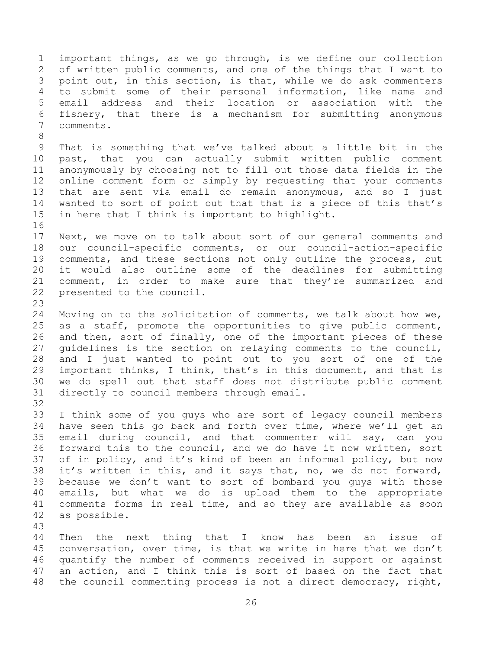important things, as we go through, is we define our collection of written public comments, and one of the things that I want to point out, in this section, is that, while we do ask commenters to submit some of their personal information, like name and email address and their location or association with the fishery, that there is a mechanism for submitting anonymous comments. That is something that we've talked about a little bit in the past, that you can actually submit written public comment anonymously by choosing not to fill out those data fields in the online comment form or simply by requesting that your comments that are sent via email do remain anonymous, and so I just wanted to sort of point out that that is a piece of this that's in here that I think is important to highlight. Next, we move on to talk about sort of our general comments and our council-specific comments, or our council-action-specific comments, and these sections not only outline the process, but it would also outline some of the deadlines for submitting comment, in order to make sure that they're summarized and presented to the council. Moving on to the solicitation of comments, we talk about how we, as a staff, promote the opportunities to give public comment, and then, sort of finally, one of the important pieces of these guidelines is the section on relaying comments to the council, and I just wanted to point out to you sort of one of the important thinks, I think, that's in this document, and that is we do spell out that staff does not distribute public comment directly to council members through email. I think some of you guys who are sort of legacy council members have seen this go back and forth over time, where we'll get an email during council, and that commenter will say, can you forward this to the council, and we do have it now written, sort of in policy, and it's kind of been an informal policy, but now it's written in this, and it says that, no, we do not forward, because we don't want to sort of bombard you guys with those emails, but what we do is upload them to the appropriate comments forms in real time, and so they are available as soon as possible. 

 Then the next thing that I know has been an issue of conversation, over time, is that we write in here that we don't quantify the number of comments received in support or against an action, and I think this is sort of based on the fact that the council commenting process is not a direct democracy, right,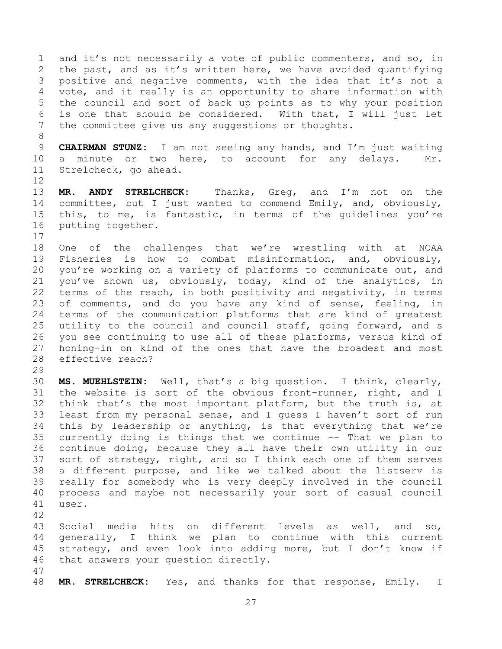and it's not necessarily a vote of public commenters, and so, in the past, and as it's written here, we have avoided quantifying positive and negative comments, with the idea that it's not a vote, and it really is an opportunity to share information with the council and sort of back up points as to why your position is one that should be considered. With that, I will just let the committee give us any suggestions or thoughts.

 **CHAIRMAN STUNZ:** I am not seeing any hands, and I'm just waiting a minute or two here, to account for any delays. Mr. Strelcheck, go ahead.

 **MR. ANDY STRELCHECK:** Thanks, Greg, and I'm not on the committee, but I just wanted to commend Emily, and, obviously, this, to me, is fantastic, in terms of the guidelines you're putting together. 

 One of the challenges that we're wrestling with at NOAA Fisheries is how to combat misinformation, and, obviously, you're working on a variety of platforms to communicate out, and you've shown us, obviously, today, kind of the analytics, in terms of the reach, in both positivity and negativity, in terms 23 of comments, and do you have any kind of sense, feeling, in terms of the communication platforms that are kind of greatest utility to the council and council staff, going forward, and s you see continuing to use all of these platforms, versus kind of honing-in on kind of the ones that have the broadest and most effective reach?

 **MS. MUEHLSTEIN:** Well, that's a big question. I think, clearly, the website is sort of the obvious front-runner, right, and I think that's the most important platform, but the truth is, at least from my personal sense, and I guess I haven't sort of run this by leadership or anything, is that everything that we're currently doing is things that we continue -- That we plan to continue doing, because they all have their own utility in our sort of strategy, right, and so I think each one of them serves a different purpose, and like we talked about the listserv is really for somebody who is very deeply involved in the council process and maybe not necessarily your sort of casual council user.

 Social media hits on different levels as well, and so, generally, I think we plan to continue with this current strategy, and even look into adding more, but I don't know if that answers your question directly.

**MR. STRELCHECK:** Yes, and thanks for that response, Emily. I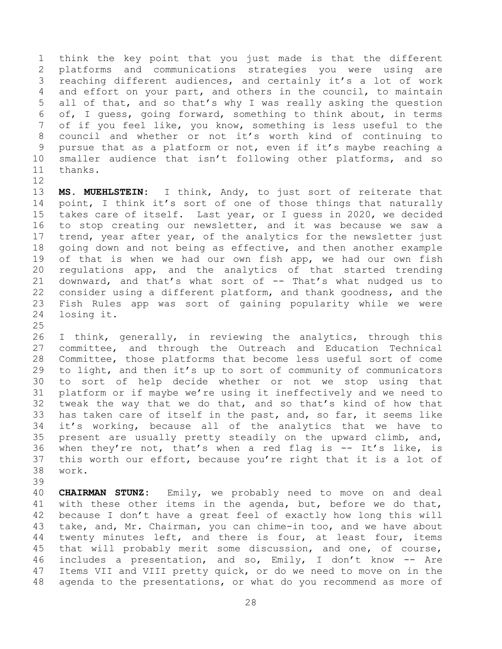think the key point that you just made is that the different platforms and communications strategies you were using are reaching different audiences, and certainly it's a lot of work and effort on your part, and others in the council, to maintain all of that, and so that's why I was really asking the question of, I guess, going forward, something to think about, in terms of if you feel like, you know, something is less useful to the council and whether or not it's worth kind of continuing to pursue that as a platform or not, even if it's maybe reaching a smaller audience that isn't following other platforms, and so thanks. 

 **MS. MUEHLSTEIN:** I think, Andy, to just sort of reiterate that 14 point, I think it's sort of one of those things that naturally takes care of itself. Last year, or I guess in 2020, we decided to stop creating our newsletter, and it was because we saw a 17 trend, year after year, of the analytics for the newsletter just going down and not being as effective, and then another example of that is when we had our own fish app, we had our own fish regulations app, and the analytics of that started trending downward, and that's what sort of -- That's what nudged us to consider using a different platform, and thank goodness, and the Fish Rules app was sort of gaining popularity while we were losing it.

 I think, generally, in reviewing the analytics, through this committee, and through the Outreach and Education Technical Committee, those platforms that become less useful sort of come to light, and then it's up to sort of community of communicators to sort of help decide whether or not we stop using that platform or if maybe we're using it ineffectively and we need to tweak the way that we do that, and so that's kind of how that has taken care of itself in the past, and, so far, it seems like it's working, because all of the analytics that we have to present are usually pretty steadily on the upward climb, and, when they're not, that's when a red flag is -- It's like, is this worth our effort, because you're right that it is a lot of work.

 **CHAIRMAN STUNZ:** Emily, we probably need to move on and deal with these other items in the agenda, but, before we do that, because I don't have a great feel of exactly how long this will take, and, Mr. Chairman, you can chime-in too, and we have about twenty minutes left, and there is four, at least four, items that will probably merit some discussion, and one, of course, includes a presentation, and so, Emily, I don't know -- Are Items VII and VIII pretty quick, or do we need to move on in the agenda to the presentations, or what do you recommend as more of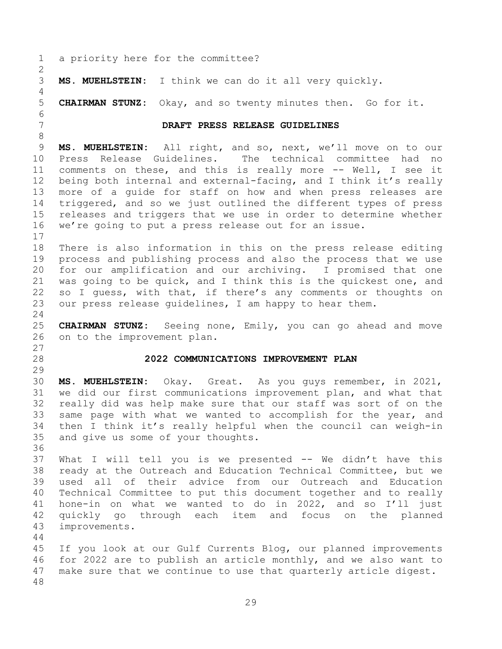<span id="page-28-1"></span><span id="page-28-0"></span> a priority here for the committee? **MS. MUEHLSTEIN:** I think we can do it all very quickly. **CHAIRMAN STUNZ:** Okay, and so twenty minutes then. Go for it. **DRAFT PRESS RELEASE GUIDELINES MS. MUEHLSTEIN:** All right, and so, next, we'll move on to our Press Release Guidelines. The technical committee had no comments on these, and this is really more -- Well, I see it being both internal and external-facing, and I think it's really more of a guide for staff on how and when press releases are triggered, and so we just outlined the different types of press releases and triggers that we use in order to determine whether we're going to put a press release out for an issue. There is also information in this on the press release editing process and publishing process and also the process that we use for our amplification and our archiving. I promised that one was going to be quick, and I think this is the quickest one, and so I guess, with that, if there's any comments or thoughts on our press release guidelines, I am happy to hear them. **CHAIRMAN STUNZ:** Seeing none, Emily, you can go ahead and move on to the improvement plan. **2022 COMMUNICATIONS IMPROVEMENT PLAN MS. MUEHLSTEIN:** Okay. Great. As you guys remember, in 2021, we did our first communications improvement plan, and what that really did was help make sure that our staff was sort of on the same page with what we wanted to accomplish for the year, and then I think it's really helpful when the council can weigh-in and give us some of your thoughts. What I will tell you is we presented -- We didn't have this ready at the Outreach and Education Technical Committee, but we used all of their advice from our Outreach and Education Technical Committee to put this document together and to really hone-in on what we wanted to do in 2022, and so I'll just quickly go through each item and focus on the planned improvements. If you look at our Gulf Currents Blog, our planned improvements for 2022 are to publish an article monthly, and we also want to make sure that we continue to use that quarterly article digest.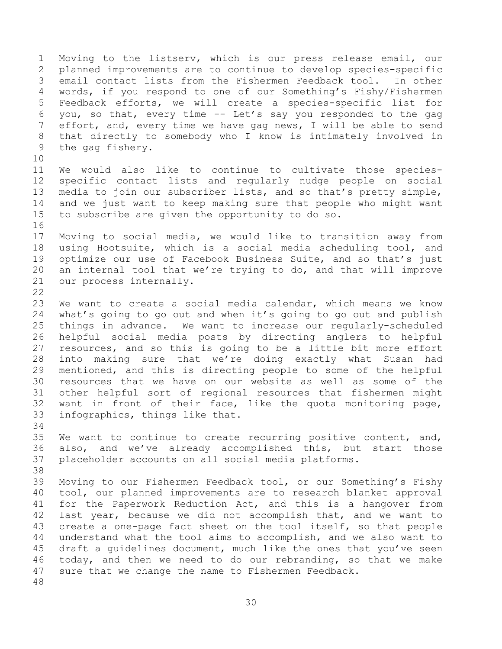Moving to the listserv, which is our press release email, our planned improvements are to continue to develop species-specific email contact lists from the Fishermen Feedback tool. In other words, if you respond to one of our Something's Fishy/Fishermen Feedback efforts, we will create a species-specific list for you, so that, every time -- Let's say you responded to the gag effort, and, every time we have gag news, I will be able to send that directly to somebody who I know is intimately involved in the gag fishery. We would also like to continue to cultivate those species- specific contact lists and regularly nudge people on social media to join our subscriber lists, and so that's pretty simple, and we just want to keep making sure that people who might want to subscribe are given the opportunity to do so. Moving to social media, we would like to transition away from using Hootsuite, which is a social media scheduling tool, and optimize our use of Facebook Business Suite, and so that's just an internal tool that we're trying to do, and that will improve our process internally. We want to create a social media calendar, which means we know

 what's going to go out and when it's going to go out and publish things in advance. We want to increase our regularly-scheduled helpful social media posts by directing anglers to helpful resources, and so this is going to be a little bit more effort into making sure that we're doing exactly what Susan had mentioned, and this is directing people to some of the helpful resources that we have on our website as well as some of the other helpful sort of regional resources that fishermen might want in front of their face, like the quota monitoring page, infographics, things like that. 

 We want to continue to create recurring positive content, and, also, and we've already accomplished this, but start those placeholder accounts on all social media platforms. 

 Moving to our Fishermen Feedback tool, or our Something's Fishy tool, our planned improvements are to research blanket approval for the Paperwork Reduction Act, and this is a hangover from last year, because we did not accomplish that, and we want to create a one-page fact sheet on the tool itself, so that people understand what the tool aims to accomplish, and we also want to draft a guidelines document, much like the ones that you've seen today, and then we need to do our rebranding, so that we make sure that we change the name to Fishermen Feedback.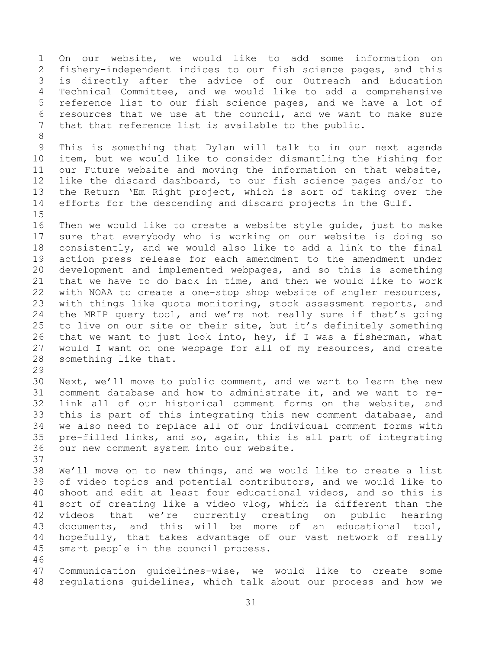On our website, we would like to add some information on fishery-independent indices to our fish science pages, and this is directly after the advice of our Outreach and Education Technical Committee, and we would like to add a comprehensive reference list to our fish science pages, and we have a lot of resources that we use at the council, and we want to make sure that that reference list is available to the public.

 This is something that Dylan will talk to in our next agenda item, but we would like to consider dismantling the Fishing for our Future website and moving the information on that website, like the discard dashboard, to our fish science pages and/or to the Return 'Em Right project, which is sort of taking over the efforts for the descending and discard projects in the Gulf. 

 Then we would like to create a website style guide, just to make sure that everybody who is working on our website is doing so consistently, and we would also like to add a link to the final action press release for each amendment to the amendment under development and implemented webpages, and so this is something that we have to do back in time, and then we would like to work with NOAA to create a one-stop shop website of angler resources, with things like quota monitoring, stock assessment reports, and the MRIP query tool, and we're not really sure if that's going to live on our site or their site, but it's definitely something that we want to just look into, hey, if I was a fisherman, what would I want on one webpage for all of my resources, and create something like that.

 Next, we'll move to public comment, and we want to learn the new comment database and how to administrate it, and we want to re- link all of our historical comment forms on the website, and this is part of this integrating this new comment database, and we also need to replace all of our individual comment forms with pre-filled links, and so, again, this is all part of integrating our new comment system into our website.

 We'll move on to new things, and we would like to create a list of video topics and potential contributors, and we would like to shoot and edit at least four educational videos, and so this is sort of creating like a video vlog, which is different than the videos that we're currently creating on public hearing documents, and this will be more of an educational tool, hopefully, that takes advantage of our vast network of really smart people in the council process. 

 Communication guidelines-wise, we would like to create some regulations guidelines, which talk about our process and how we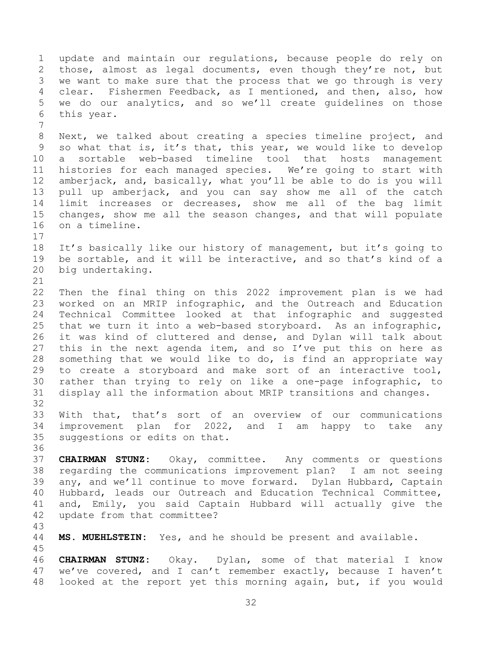update and maintain our regulations, because people do rely on those, almost as legal documents, even though they're not, but we want to make sure that the process that we go through is very clear. Fishermen Feedback, as I mentioned, and then, also, how we do our analytics, and so we'll create guidelines on those this year. Next, we talked about creating a species timeline project, and so what that is, it's that, this year, we would like to develop a sortable web-based timeline tool that hosts management histories for each managed species. We're going to start with amberjack, and, basically, what you'll be able to do is you will pull up amberjack, and you can say show me all of the catch limit increases or decreases, show me all of the bag limit changes, show me all the season changes, and that will populate on a timeline. It's basically like our history of management, but it's going to be sortable, and it will be interactive, and so that's kind of a big undertaking. Then the final thing on this 2022 improvement plan is we had worked on an MRIP infographic, and the Outreach and Education Technical Committee looked at that infographic and suggested that we turn it into a web-based storyboard. As an infographic, it was kind of cluttered and dense, and Dylan will talk about this in the next agenda item, and so I've put this on here as something that we would like to do, is find an appropriate way to create a storyboard and make sort of an interactive tool, rather than trying to rely on like a one-page infographic, to display all the information about MRIP transitions and changes. With that, that's sort of an overview of our communications improvement plan for 2022, and I am happy to take any suggestions or edits on that. **CHAIRMAN STUNZ:** Okay, committee. Any comments or questions regarding the communications improvement plan? I am not seeing any, and we'll continue to move forward. Dylan Hubbard, Captain Hubbard, leads our Outreach and Education Technical Committee, and, Emily, you said Captain Hubbard will actually give the update from that committee? **MS. MUEHLSTEIN:** Yes, and he should be present and available. **CHAIRMAN STUNZ:** Okay. Dylan, some of that material I know we've covered, and I can't remember exactly, because I haven't looked at the report yet this morning again, but, if you would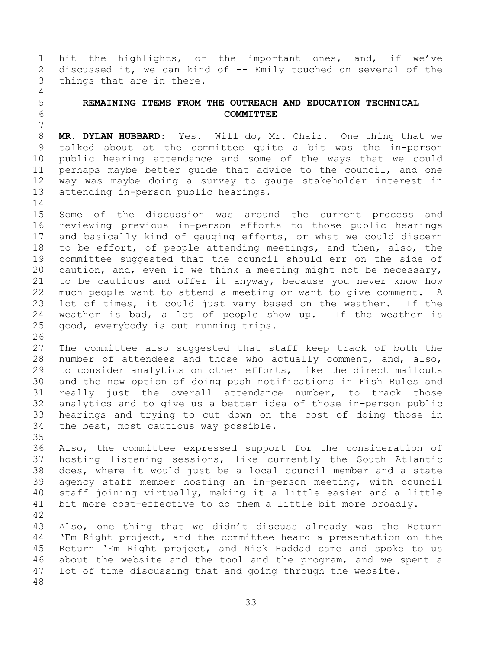hit the highlights, or the important ones, and, if we've discussed it, we can kind of -- Emily touched on several of the things that are in there.

## <span id="page-32-0"></span> **REMAINING ITEMS FROM THE OUTREACH AND EDUCATION TECHNICAL COMMITTEE**

 **MR. DYLAN HUBBARD:** Yes. Will do, Mr. Chair. One thing that we talked about at the committee quite a bit was the in-person public hearing attendance and some of the ways that we could perhaps maybe better guide that advice to the council, and one way was maybe doing a survey to gauge stakeholder interest in attending in-person public hearings.

 Some of the discussion was around the current process and reviewing previous in-person efforts to those public hearings and basically kind of gauging efforts, or what we could discern to be effort, of people attending meetings, and then, also, the committee suggested that the council should err on the side of caution, and, even if we think a meeting might not be necessary, to be cautious and offer it anyway, because you never know how much people want to attend a meeting or want to give comment. A lot of times, it could just vary based on the weather. If the weather is bad, a lot of people show up. If the weather is good, everybody is out running trips.

 The committee also suggested that staff keep track of both the number of attendees and those who actually comment, and, also, to consider analytics on other efforts, like the direct mailouts and the new option of doing push notifications in Fish Rules and really just the overall attendance number, to track those analytics and to give us a better idea of those in-person public hearings and trying to cut down on the cost of doing those in the best, most cautious way possible. 

 Also, the committee expressed support for the consideration of hosting listening sessions, like currently the South Atlantic does, where it would just be a local council member and a state agency staff member hosting an in-person meeting, with council staff joining virtually, making it a little easier and a little bit more cost-effective to do them a little bit more broadly. 

 Also, one thing that we didn't discuss already was the Return 'Em Right project, and the committee heard a presentation on the Return 'Em Right project, and Nick Haddad came and spoke to us about the website and the tool and the program, and we spent a lot of time discussing that and going through the website.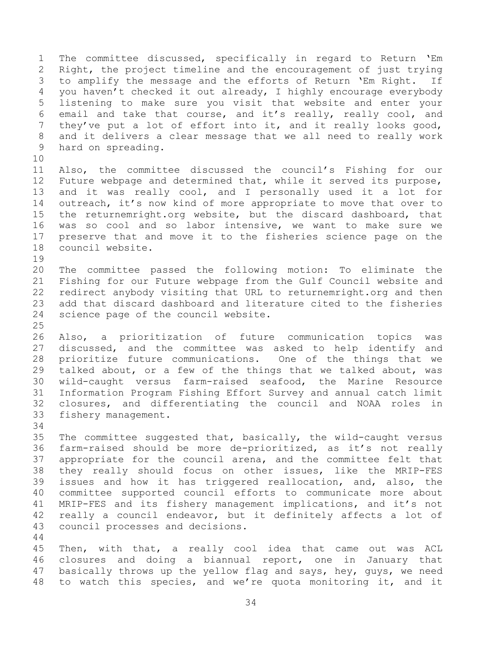The committee discussed, specifically in regard to Return 'Em Right, the project timeline and the encouragement of just trying to amplify the message and the efforts of Return 'Em Right. If you haven't checked it out already, I highly encourage everybody listening to make sure you visit that website and enter your email and take that course, and it's really, really cool, and they've put a lot of effort into it, and it really looks good, and it delivers a clear message that we all need to really work hard on spreading. 

 Also, the committee discussed the council's Fishing for our Future webpage and determined that, while it served its purpose, and it was really cool, and I personally used it a lot for outreach, it's now kind of more appropriate to move that over to the returnemright.org website, but the discard dashboard, that was so cool and so labor intensive, we want to make sure we preserve that and move it to the fisheries science page on the council website.

- The committee passed the following motion: To eliminate the Fishing for our Future webpage from the Gulf Council website and redirect anybody visiting that URL to returnemright.org and then add that discard dashboard and literature cited to the fisheries science page of the council website.
- Also, a prioritization of future communication topics was discussed, and the committee was asked to help identify and prioritize future communications. One of the things that we talked about, or a few of the things that we talked about, was wild-caught versus farm-raised seafood, the Marine Resource Information Program Fishing Effort Survey and annual catch limit closures, and differentiating the council and NOAA roles in fishery management.
- 

 The committee suggested that, basically, the wild-caught versus farm-raised should be more de-prioritized, as it's not really appropriate for the council arena, and the committee felt that they really should focus on other issues, like the MRIP-FES issues and how it has triggered reallocation, and, also, the committee supported council efforts to communicate more about MRIP-FES and its fishery management implications, and it's not really a council endeavor, but it definitely affects a lot of council processes and decisions.

 Then, with that, a really cool idea that came out was ACL closures and doing a biannual report, one in January that basically throws up the yellow flag and says, hey, guys, we need to watch this species, and we're quota monitoring it, and it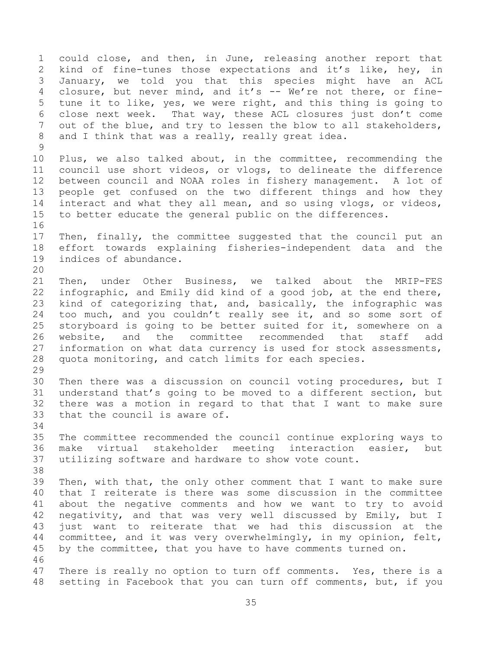could close, and then, in June, releasing another report that kind of fine-tunes those expectations and it's like, hey, in January, we told you that this species might have an ACL closure, but never mind, and it's -- We're not there, or fine- tune it to like, yes, we were right, and this thing is going to close next week. That way, these ACL closures just don't come out of the blue, and try to lessen the blow to all stakeholders, 8 and I think that was a really, really great idea. Plus, we also talked about, in the committee, recommending the council use short videos, or vlogs, to delineate the difference between council and NOAA roles in fishery management. A lot of people get confused on the two different things and how they interact and what they all mean, and so using vlogs, or videos, to better educate the general public on the differences. Then, finally, the committee suggested that the council put an effort towards explaining fisheries-independent data and the indices of abundance. Then, under Other Business, we talked about the MRIP-FES infographic, and Emily did kind of a good job, at the end there, kind of categorizing that, and, basically, the infographic was 24 too much, and you couldn't really see it, and so some sort of storyboard is going to be better suited for it, somewhere on a website, and the committee recommended that staff add information on what data currency is used for stock assessments, quota monitoring, and catch limits for each species. Then there was a discussion on council voting procedures, but I understand that's going to be moved to a different section, but there was a motion in regard to that that I want to make sure that the council is aware of. The committee recommended the council continue exploring ways to make virtual stakeholder meeting interaction easier, but utilizing software and hardware to show vote count. Then, with that, the only other comment that I want to make sure that I reiterate is there was some discussion in the committee about the negative comments and how we want to try to avoid negativity, and that was very well discussed by Emily, but I just want to reiterate that we had this discussion at the committee, and it was very overwhelmingly, in my opinion, felt, by the committee, that you have to have comments turned on. 47 There is really no option to turn off comments. Yes, there is a setting in Facebook that you can turn off comments, but, if you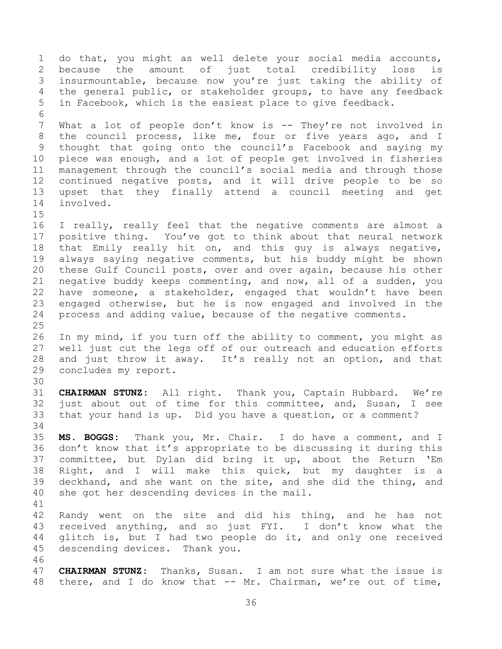do that, you might as well delete your social media accounts, because the amount of just total credibility loss is insurmountable, because now you're just taking the ability of the general public, or stakeholder groups, to have any feedback in Facebook, which is the easiest place to give feedback. What a lot of people don't know is -- They're not involved in the council process, like me, four or five years ago, and I thought that going onto the council's Facebook and saying my piece was enough, and a lot of people get involved in fisheries management through the council's social media and through those continued negative posts, and it will drive people to be so upset that they finally attend a council meeting and get involved. I really, really feel that the negative comments are almost a positive thing. You've got to think about that neural network that Emily really hit on, and this guy is always negative, always saying negative comments, but his buddy might be shown these Gulf Council posts, over and over again, because his other negative buddy keeps commenting, and now, all of a sudden, you have someone, a stakeholder, engaged that wouldn't have been engaged otherwise, but he is now engaged and involved in the process and adding value, because of the negative comments. In my mind, if you turn off the ability to comment, you might as well just cut the legs off of our outreach and education efforts and just throw it away. It's really not an option, and that concludes my report. **CHAIRMAN STUNZ:** All right. Thank you, Captain Hubbard. We're just about out of time for this committee, and, Susan, I see that your hand is up. Did you have a question, or a comment? **MS. BOGGS:** Thank you, Mr. Chair. I do have a comment, and I don't know that it's appropriate to be discussing it during this committee, but Dylan did bring it up, about the Return 'Em Right, and I will make this quick, but my daughter is a deckhand, and she want on the site, and she did the thing, and she got her descending devices in the mail. Randy went on the site and did his thing, and he has not received anything, and so just FYI. I don't know what the glitch is, but I had two people do it, and only one received descending devices. Thank you. **CHAIRMAN STUNZ:** Thanks, Susan. I am not sure what the issue is there, and I do know that -- Mr. Chairman, we're out of time,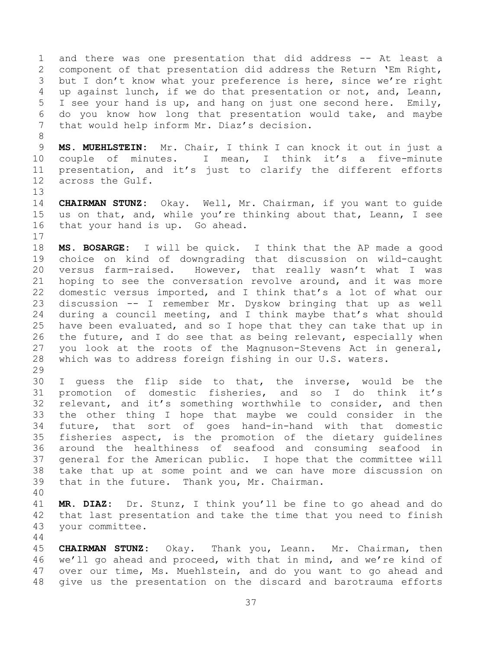and there was one presentation that did address -- At least a component of that presentation did address the Return 'Em Right, but I don't know what your preference is here, since we're right up against lunch, if we do that presentation or not, and, Leann, I see your hand is up, and hang on just one second here. Emily, do you know how long that presentation would take, and maybe that would help inform Mr. Diaz's decision.

 **MS. MUEHLSTEIN:** Mr. Chair, I think I can knock it out in just a couple of minutes. I mean, I think it's a five-minute presentation, and it's just to clarify the different efforts across the Gulf.

 **CHAIRMAN STUNZ:** Okay. Well, Mr. Chairman, if you want to guide us on that, and, while you're thinking about that, Leann, I see that your hand is up. Go ahead. 

 **MS. BOSARGE:** I will be quick. I think that the AP made a good choice on kind of downgrading that discussion on wild-caught versus farm-raised. However, that really wasn't what I was hoping to see the conversation revolve around, and it was more domestic versus imported, and I think that's a lot of what our discussion -- I remember Mr. Dyskow bringing that up as well during a council meeting, and I think maybe that's what should have been evaluated, and so I hope that they can take that up in the future, and I do see that as being relevant, especially when you look at the roots of the Magnuson-Stevens Act in general, which was to address foreign fishing in our U.S. waters. 

 I guess the flip side to that, the inverse, would be the promotion of domestic fisheries, and so I do think it's relevant, and it's something worthwhile to consider, and then the other thing I hope that maybe we could consider in the future, that sort of goes hand-in-hand with that domestic fisheries aspect, is the promotion of the dietary guidelines around the healthiness of seafood and consuming seafood in general for the American public. I hope that the committee will take that up at some point and we can have more discussion on that in the future. Thank you, Mr. Chairman.

 **MR. DIAZ:** Dr. Stunz, I think you'll be fine to go ahead and do that last presentation and take the time that you need to finish your committee.

 **CHAIRMAN STUNZ:** Okay. Thank you, Leann. Mr. Chairman, then we'll go ahead and proceed, with that in mind, and we're kind of over our time, Ms. Muehlstein, and do you want to go ahead and give us the presentation on the discard and barotrauma efforts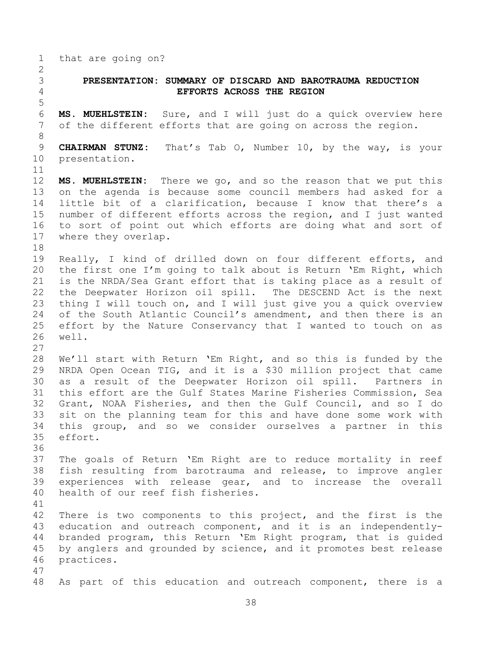that are going on?

## <span id="page-37-0"></span> **PRESENTATION: SUMMARY OF DISCARD AND BAROTRAUMA REDUCTION EFFORTS ACROSS THE REGION**

 **MS. MUEHLSTEIN:** Sure, and I will just do a quick overview here of the different efforts that are going on across the region.

 **CHAIRMAN STUNZ:** That's Tab O, Number 10, by the way, is your presentation.

 **MS. MUEHLSTEIN:** There we go, and so the reason that we put this on the agenda is because some council members had asked for a little bit of a clarification, because I know that there's a number of different efforts across the region, and I just wanted to sort of point out which efforts are doing what and sort of where they overlap.

 Really, I kind of drilled down on four different efforts, and the first one I'm going to talk about is Return 'Em Right, which is the NRDA/Sea Grant effort that is taking place as a result of the Deepwater Horizon oil spill. The DESCEND Act is the next thing I will touch on, and I will just give you a quick overview of the South Atlantic Council's amendment, and then there is an effort by the Nature Conservancy that I wanted to touch on as well.

 We'll start with Return 'Em Right, and so this is funded by the NRDA Open Ocean TIG, and it is a \$30 million project that came as a result of the Deepwater Horizon oil spill. Partners in this effort are the Gulf States Marine Fisheries Commission, Sea Grant, NOAA Fisheries, and then the Gulf Council, and so I do sit on the planning team for this and have done some work with this group, and so we consider ourselves a partner in this effort.

 The goals of Return 'Em Right are to reduce mortality in reef fish resulting from barotrauma and release, to improve angler experiences with release gear, and to increase the overall health of our reef fish fisheries.

 There is two components to this project, and the first is the education and outreach component, and it is an independently- branded program, this Return 'Em Right program, that is guided by anglers and grounded by science, and it promotes best release practices.

As part of this education and outreach component, there is a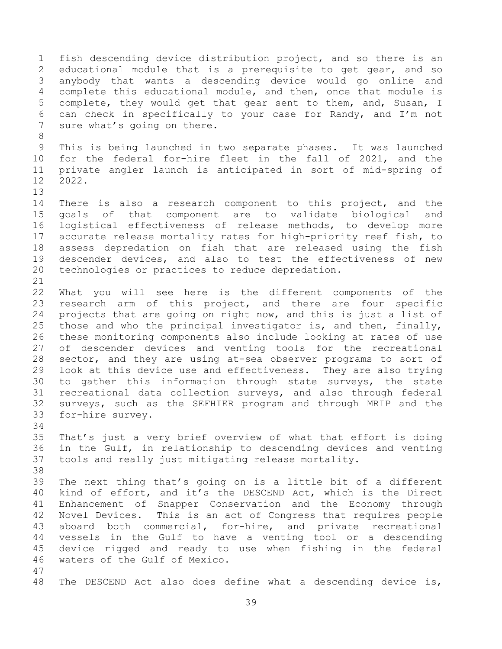fish descending device distribution project, and so there is an educational module that is a prerequisite to get gear, and so anybody that wants a descending device would go online and complete this educational module, and then, once that module is complete, they would get that gear sent to them, and, Susan, I can check in specifically to your case for Randy, and I'm not 7 sure what's going on there. This is being launched in two separate phases. It was launched for the federal for-hire fleet in the fall of 2021, and the private angler launch is anticipated in sort of mid-spring of 2022. There is also a research component to this project, and the goals of that component are to validate biological and logistical effectiveness of release methods, to develop more accurate release mortality rates for high-priority reef fish, to assess depredation on fish that are released using the fish descender devices, and also to test the effectiveness of new technologies or practices to reduce depredation. What you will see here is the different components of the research arm of this project, and there are four specific projects that are going on right now, and this is just a list of those and who the principal investigator is, and then, finally, these monitoring components also include looking at rates of use of descender devices and venting tools for the recreational sector, and they are using at-sea observer programs to sort of look at this device use and effectiveness. They are also trying to gather this information through state surveys, the state recreational data collection surveys, and also through federal surveys, such as the SEFHIER program and through MRIP and the for-hire survey. That's just a very brief overview of what that effort is doing in the Gulf, in relationship to descending devices and venting tools and really just mitigating release mortality. The next thing that's going on is a little bit of a different kind of effort, and it's the DESCEND Act, which is the Direct Enhancement of Snapper Conservation and the Economy through Novel Devices. This is an act of Congress that requires people aboard both commercial, for-hire, and private recreational vessels in the Gulf to have a venting tool or a descending device rigged and ready to use when fishing in the federal waters of the Gulf of Mexico. The DESCEND Act also does define what a descending device is,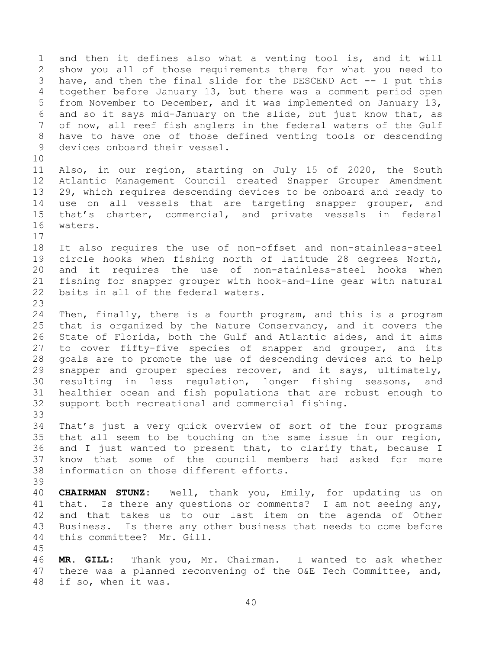and then it defines also what a venting tool is, and it will show you all of those requirements there for what you need to have, and then the final slide for the DESCEND Act -- I put this together before January 13, but there was a comment period open from November to December, and it was implemented on January 13, and so it says mid-January on the slide, but just know that, as of now, all reef fish anglers in the federal waters of the Gulf have to have one of those defined venting tools or descending devices onboard their vessel. Also, in our region, starting on July 15 of 2020, the South Atlantic Management Council created Snapper Grouper Amendment 29, which requires descending devices to be onboard and ready to use on all vessels that are targeting snapper grouper, and that's charter, commercial, and private vessels in federal waters. It also requires the use of non-offset and non-stainless-steel circle hooks when fishing north of latitude 28 degrees North, and it requires the use of non-stainless-steel hooks when fishing for snapper grouper with hook-and-line gear with natural baits in all of the federal waters. Then, finally, there is a fourth program, and this is a program that is organized by the Nature Conservancy, and it covers the State of Florida, both the Gulf and Atlantic sides, and it aims to cover fifty-five species of snapper and grouper, and its goals are to promote the use of descending devices and to help snapper and grouper species recover, and it says, ultimately, resulting in less regulation, longer fishing seasons, and healthier ocean and fish populations that are robust enough to support both recreational and commercial fishing. That's just a very quick overview of sort of the four programs that all seem to be touching on the same issue in our region, and I just wanted to present that, to clarify that, because I know that some of the council members had asked for more information on those different efforts. **CHAIRMAN STUNZ:** Well, thank you, Emily, for updating us on that. Is there any questions or comments? I am not seeing any, and that takes us to our last item on the agenda of Other Business. Is there any other business that needs to come before this committee? Mr. Gill. **MR. GILL:** Thank you, Mr. Chairman. I wanted to ask whether there was a planned reconvening of the O&E Tech Committee, and, if so, when it was.